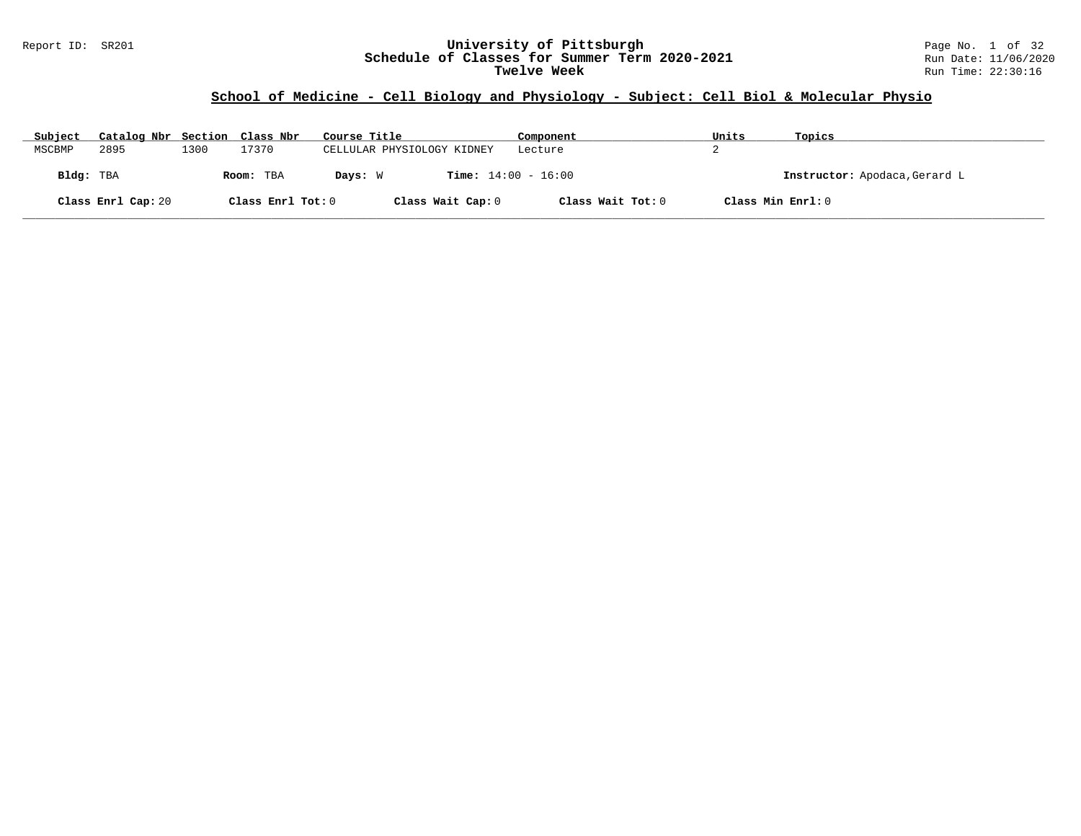### Report ID: SR201 **University of Pittsburgh** Page No. 1 of 32 **Schedule of Classes for Summer Term 2020-2021** Run Date: 11/06/2020 **Twelve Week** Run Time: 22:30:16

# **School of Medicine - Cell Biology and Physiology - Subject: Cell Biol & Molecular Physio**

| Subject   | Catalog Nbr Section Class Nbr |      |                   | Course Title               | Component                    | Units             | Topics                        |
|-----------|-------------------------------|------|-------------------|----------------------------|------------------------------|-------------------|-------------------------------|
| MSCBMP    | 2895                          | 1300 | 17370             | CELLULAR PHYSIOLOGY KIDNEY | Lecture                      |                   |                               |
| Bldg: TBA |                               |      | Room: TBA         | Davs: W                    | <b>Time:</b> $14:00 - 16:00$ |                   | Instructor: Apodaca, Gerard L |
|           | Class Enrl Cap: 20            |      | Class Enrl Tot: 0 | Class Wait Cap: 0          | Class Wait Tot: 0            | Class Min Enrl: 0 |                               |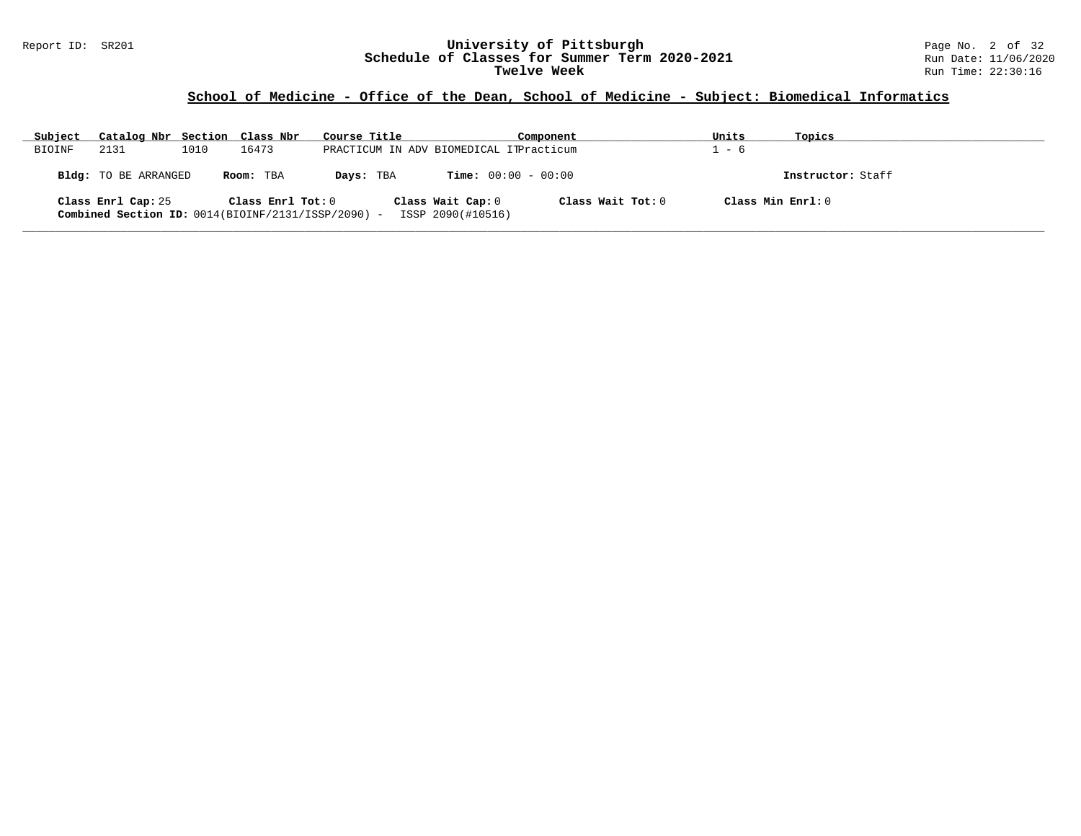### Report ID: SR201 **University of Pittsburgh** Page No. 2 of 32 **Schedule of Classes for Summer Term 2020-2021** Run Date: 11/06/2020 **Twelve Week** Run Time: 22:30:16

# **School of Medicine - Office of the Dean, School of Medicine - Subject: Biomedical Informatics**

| Subject | Catalog Nbr Section Class Nbr                                              |      |                   | Course Title |                                         | Component         | Units             | Topics            |  |
|---------|----------------------------------------------------------------------------|------|-------------------|--------------|-----------------------------------------|-------------------|-------------------|-------------------|--|
| BIOINF  | 2131                                                                       | 1010 | 16473             |              | PRACTICUM IN ADV BIOMEDICAL ITPracticum |                   | - 6               |                   |  |
|         | Bldg: TO BE ARRANGED                                                       |      | Room: TBA         | Days: TBA    | $Time: 00:00 - 00:00$                   |                   |                   | Instructor: Staff |  |
|         | Class Enrl Cap: 25<br>Combined Section ID: $0014(BIOINF/2131/ISSP/2090) -$ |      | Class Enrl Tot: 0 |              | Class Wait Cap: 0<br>ISSP 2090(#10516)  | Class Wait Tot: 0 | Class Min Enrl: 0 |                   |  |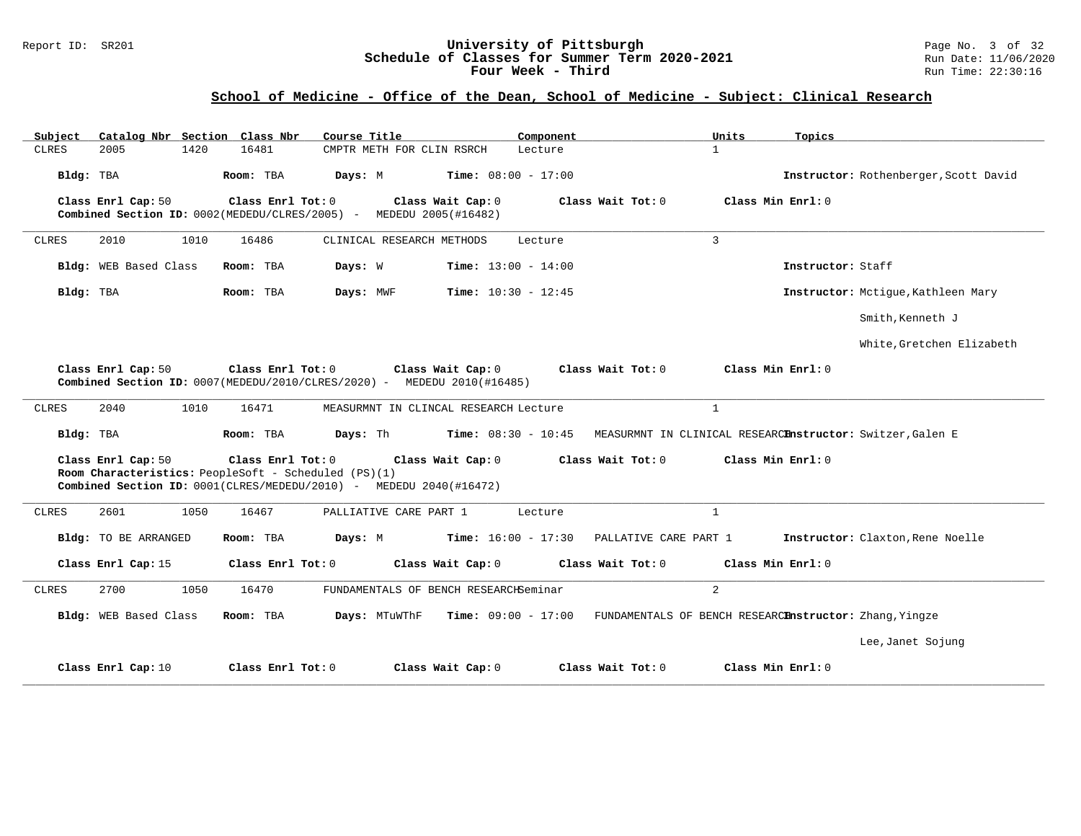### Report ID: SR201 **University of Pittsburgh** Page No. 3 of 32 **Schedule of Classes for Summer Term 2020-2021** Run Date: 11/06/2020 **Four Week - Third Run Time: 22:30:16**

# **School of Medicine - Office of the Dean, School of Medicine - Subject: Clinical Research**

| Subject<br>Catalog Nbr Section Class Nbr | Course Title                                                                                                                                                         | Component                                             | Units<br>Topics                                                            |
|------------------------------------------|----------------------------------------------------------------------------------------------------------------------------------------------------------------------|-------------------------------------------------------|----------------------------------------------------------------------------|
| <b>CLRES</b><br>2005<br>1420             | 16481<br>CMPTR METH FOR CLIN RSRCH                                                                                                                                   | Lecture                                               | $\mathbf{1}$                                                               |
| Bldg: TBA                                | Room: TBA<br>Days: M<br>$Time: 08:00 - 17:00$                                                                                                                        |                                                       | Instructor: Rothenberger, Scott David                                      |
| Class Enrl Cap: 50                       | Class Enrl Tot: 0<br>Class Wait Cap: 0<br>Combined Section ID: 0002(MEDEDU/CLRES/2005) - MEDEDU 2005(#16482)                                                         | Class Wait Tot: 0                                     | Class Min Enrl: 0                                                          |
| CLRES<br>2010<br>1010                    | 16486<br>CLINICAL RESEARCH METHODS                                                                                                                                   | Lecture                                               | $\mathbf{3}$                                                               |
| Bldg: WEB Based Class                    | Room: TBA<br>Days: W                                                                                                                                                 | <b>Time:</b> $13:00 - 14:00$                          | Instructor: Staff                                                          |
| Bldg: TBA                                | Room: TBA<br>Days: MWF                                                                                                                                               | <b>Time:</b> $10:30 - 12:45$                          | Instructor: Mctique, Kathleen Mary                                         |
|                                          |                                                                                                                                                                      |                                                       | Smith, Kenneth J                                                           |
|                                          |                                                                                                                                                                      |                                                       | White, Gretchen Elizabeth                                                  |
| Class Enrl Cap: 50                       | Class Enrl Tot: 0<br>Class Wait Cap: 0<br>Combined Section ID: 0007(MEDEDU/2010/CLRES/2020) - MEDEDU 2010(#16485)                                                    | Class Wait Tot: 0                                     | Class Min Enrl: 0                                                          |
| 2040<br>1010<br>CLRES                    | 16471<br>MEASURMNT IN CLINCAL RESEARCH Lecture                                                                                                                       |                                                       | $\mathbf{1}$                                                               |
| Bldg: TBA                                | Room: TBA<br>Days: Th                                                                                                                                                | <b>Time:</b> $08:30 - 10:45$                          | MEASURMNT IN CLINICAL RESEARCEnstructor: Switzer, Galen E                  |
| Class Enrl Cap: 50                       | Class Enrl Tot: 0<br>Class Wait Cap: 0<br>Room Characteristics: PeopleSoft - Scheduled (PS)(1)<br>Combined Section ID: 0001(CLRES/MEDEDU/2010) - MEDEDU 2040(#16472) | Class Wait Tot: 0                                     | Class Min Enrl: 0                                                          |
| 2601<br><b>CLRES</b><br>1050             | 16467<br>PALLIATIVE CARE PART 1                                                                                                                                      | Lecture                                               | $\mathbf{1}$                                                               |
| Bldg: TO BE ARRANGED                     | Room: TBA<br>Days: M                                                                                                                                                 | <b>Time:</b> $16:00 - 17:30$<br>PALLATIVE CARE PART 1 | Instructor: Claxton, Rene Noelle                                           |
| Class Enrl Cap: 15                       | Class Wait Cap: 0<br>Class Enrl Tot: 0                                                                                                                               | Class Wait Tot: 0                                     | Class Min Enrl: 0                                                          |
| 2700<br>1050<br>CLRES                    | 16470<br>FUNDAMENTALS OF BENCH RESEARCHSeminar                                                                                                                       |                                                       | $\overline{a}$                                                             |
| Bldg: WEB Based Class                    | Room: TBA<br>Days: MTuWThF                                                                                                                                           |                                                       | Time: 09:00 - 17:00 FUNDAMENTALS OF BENCH RESEARCEnstructor: Zhang, Yingze |
|                                          |                                                                                                                                                                      |                                                       | Lee, Janet Sojung                                                          |
| Class Enrl Cap: 10                       | Class Enrl Tot: 0<br>Class Wait Cap: 0                                                                                                                               | Class Wait Tot: 0                                     | Class Min Enrl: 0                                                          |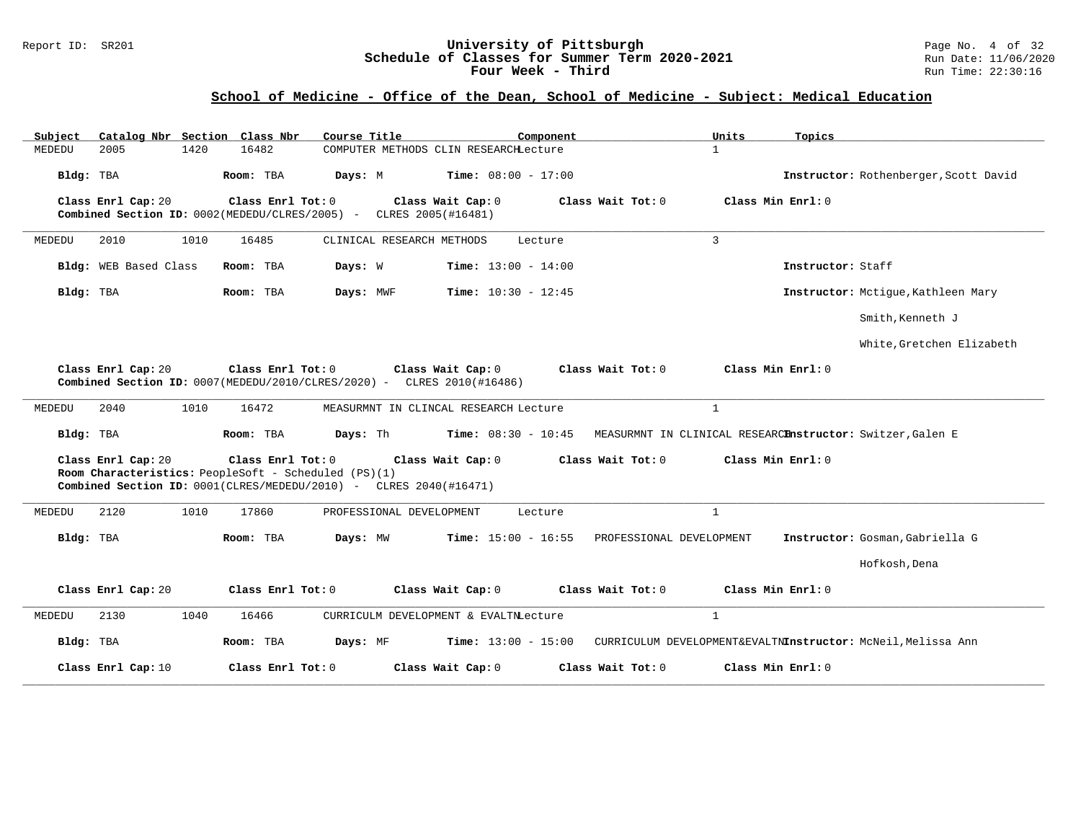### Report ID: SR201 **University of Pittsburgh** Page No. 4 of 32 **Schedule of Classes for Summer Term 2020-2021** Run Date: 11/06/2020 **Four Week - Third Run Time: 22:30:16**

### **School of Medicine - Office of the Dean, School of Medicine - Subject: Medical Education**

| Catalog Nbr Section Class Nbr<br>Subject | Course Title                                                                                                                                   | Component                                                    | Units<br>Topics                                              |
|------------------------------------------|------------------------------------------------------------------------------------------------------------------------------------------------|--------------------------------------------------------------|--------------------------------------------------------------|
| MEDEDU<br>2005<br>1420                   | 16482                                                                                                                                          | COMPUTER METHODS CLIN RESEARCHLecture                        | $\mathbf{1}$                                                 |
| Bldg: TBA                                | Room: TBA<br>Days: M                                                                                                                           | <b>Time:</b> $08:00 - 17:00$                                 | Instructor: Rothenberger, Scott David                        |
| Class Enrl Cap: 20                       | Class Enrl Tot: 0<br>Combined Section ID: 0002(MEDEDU/CLRES/2005) -                                                                            | Class Wait Cap: 0<br>Class Wait Tot: 0<br>CLRES 2005(#16481) | Class Min Enrl: 0                                            |
| MEDEDU<br>2010<br>1010                   | 16485<br>CLINICAL RESEARCH METHODS                                                                                                             | Lecture                                                      | $\mathbf{3}$                                                 |
| Bldg: WEB Based Class                    | Room: TBA<br>Days: W                                                                                                                           | <b>Time:</b> $13:00 - 14:00$                                 | Instructor: Staff                                            |
| Bldg: TBA                                | Room: TBA<br>Days: MWF                                                                                                                         | Time: $10:30 - 12:45$                                        | Instructor: Mctique, Kathleen Mary                           |
|                                          |                                                                                                                                                |                                                              | Smith, Kenneth J                                             |
|                                          |                                                                                                                                                |                                                              | White, Gretchen Elizabeth                                    |
| Class Enrl Cap: 20                       | Class Enrl Tot: 0<br>Combined Section ID: $0007(MEDEDU/2010/CLRES/2020)$ - CLRES 2010(#16486)                                                  | Class Wait Cap: 0<br>Class Wait Tot: 0                       | Class Min Enrl: 0                                            |
| 2040<br>1010<br>MEDEDU                   | 16472                                                                                                                                          | MEASURMNT IN CLINCAL RESEARCH Lecture                        | $\mathbf{1}$                                                 |
| Bldg: TBA                                | Room: TBA<br>Days: Th                                                                                                                          | <b>Time:</b> $08:30 - 10:45$                                 | MEASURMNT IN CLINICAL RESEARCEnstructor: Switzer, Galen E    |
| Class Enrl Cap: 20                       | Class Enrl Tot: 0<br>Room Characteristics: PeopleSoft - Scheduled (PS)(1)<br>Combined Section ID: 0001(CLRES/MEDEDU/2010) - CLRES 2040(#16471) | Class Wait Cap: 0<br>Class Wait Tot: 0                       | Class Min Enrl: 0                                            |
| 2120<br>MEDEDU<br>1010                   | 17860<br>PROFESSIONAL DEVELOPMENT                                                                                                              | Lecture                                                      | $\mathbf{1}$                                                 |
| Bldg: TBA                                | Room: TBA<br>Days: MW                                                                                                                          | <b>Time:</b> $15:00 - 16:55$<br>PROFESSIONAL DEVELOPMENT     | Instructor: Gosman, Gabriella G                              |
|                                          |                                                                                                                                                |                                                              | Hofkosh, Dena                                                |
| Class Enrl Cap: 20                       | Class Enrl Tot: 0                                                                                                                              | Class Wait Cap: 0<br>Class Wait Tot: 0                       | Class Min Enrl: 0                                            |
| MEDEDU<br>2130<br>1040                   | 16466                                                                                                                                          | CURRICULM DEVELOPMENT & EVALTNLecture                        | $\mathbf{1}$                                                 |
| Bldg: TBA                                | Room: TBA<br>Days: MF                                                                                                                          | <b>Time:</b> $13:00 - 15:00$                                 | CURRICULUM DEVELOPMENT&EVALTNInstructor: McNeil, Melissa Ann |
| Class Enrl Cap: 10                       | Class Enrl Tot: 0                                                                                                                              | Class Wait Cap: 0<br>Class Wait Tot: 0                       | Class Min Enrl: 0                                            |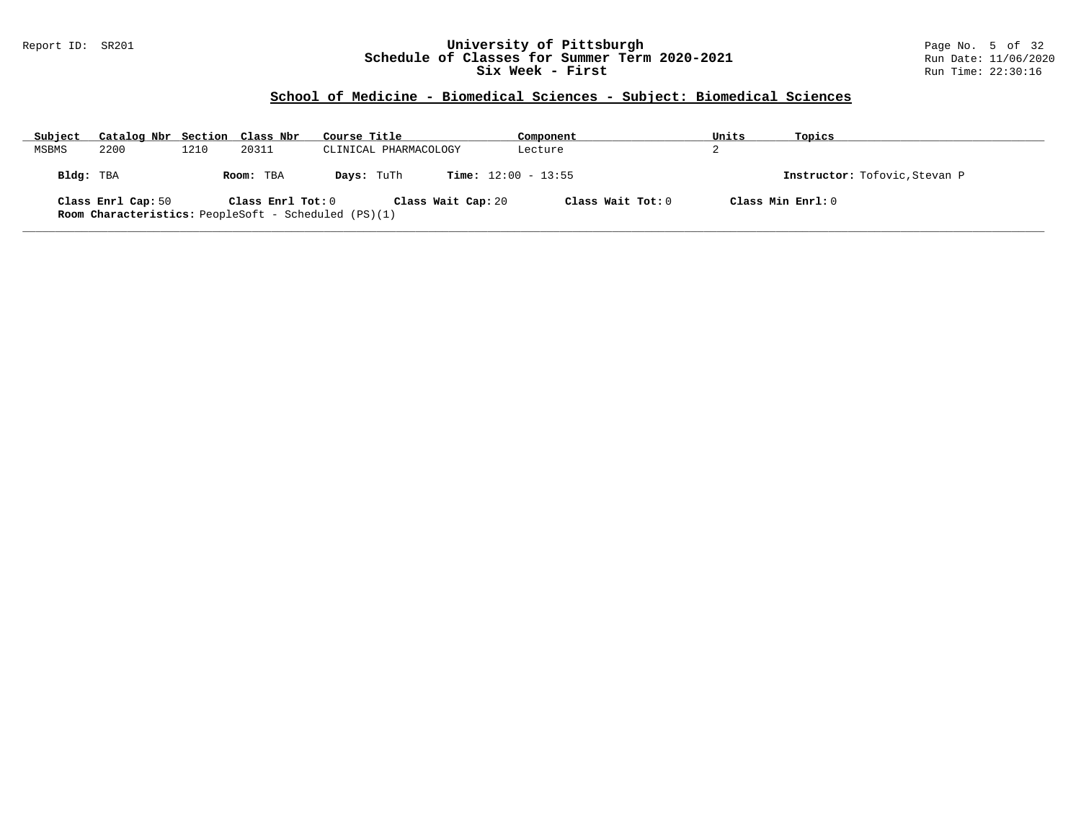### Report ID: SR201 **University of Pittsburgh** Page No. 5 of 32 **Schedule of Classes for Summer Term 2020-2021** Run Date: 11/06/2020 **Six Week - First Run Time: 22:30:16** Run Time: 22:30:16

# **School of Medicine - Biomedical Sciences - Subject: Biomedical Sciences**

| Subject   | Catalog Nbr Section Class Nbr                                                     |      |                   | Course Title |                              | Component         | Units | Topics                        |
|-----------|-----------------------------------------------------------------------------------|------|-------------------|--------------|------------------------------|-------------------|-------|-------------------------------|
| MSBMS     | 2200                                                                              | 1210 | 20311             |              | CLINICAL PHARMACOLOGY        | Lecture           | z.    |                               |
| Bldg: TBA |                                                                                   |      | Room: TBA         | Days: TuTh   | <b>Time:</b> $12:00 - 13:55$ |                   |       | Instructor: Tofovic, Stevan P |
|           | Class Enrl Cap: 50<br><b>Room Characteristics:</b> PeopleSoft - Scheduled (PS)(1) |      | Class Enrl Tot: 0 |              | Class Wait Cap: 20           | Class Wait Tot: 0 |       | Class Min Enrl: 0             |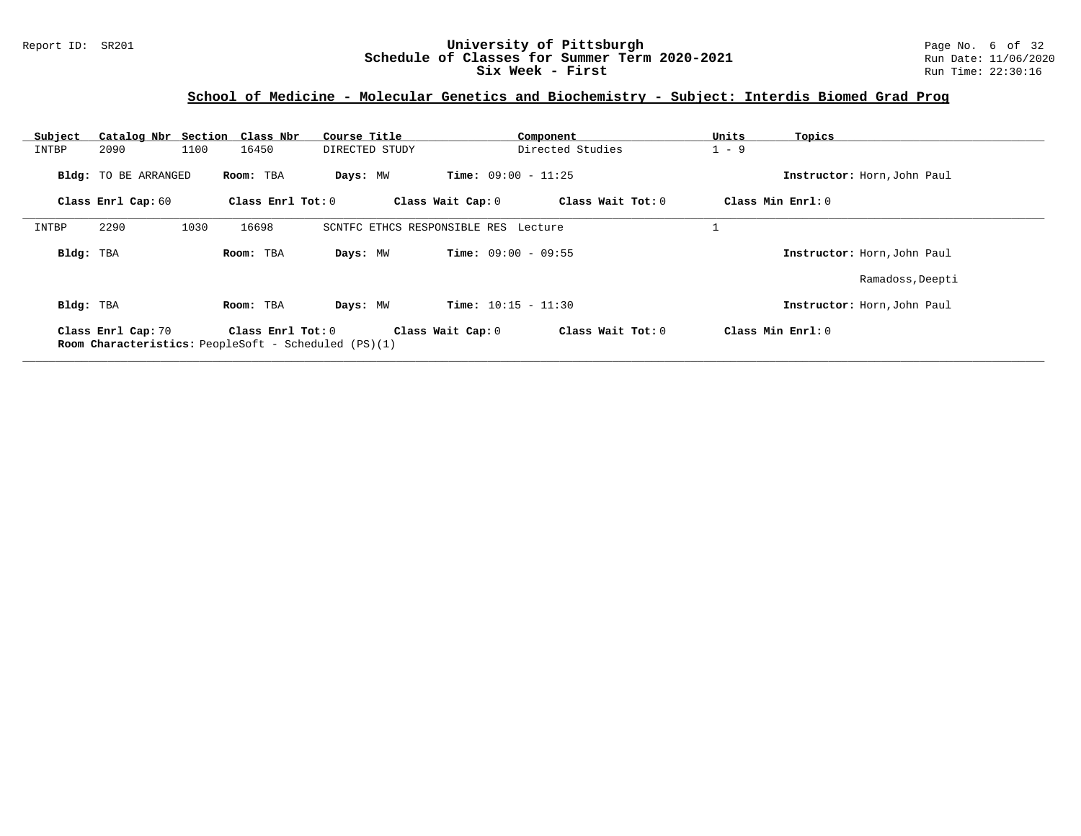### Report ID: SR201 **University of Pittsburgh** Page No. 6 of 32 **Schedule of Classes for Summer Term 2020-2021** Run Date: 11/06/2020 **Six Week - First Run** Time: 22:30:16

# **School of Medicine - Molecular Genetics and Biochemistry - Subject: Interdis Biomed Grad Prog**

| Subject<br>INTBP | Catalog Nbr Section Class Nbr<br>2090 | 1100 | 16450               | Course Title<br>DIRECTED STUDY                              |                                      | Component<br>Directed Studies | Units<br>$1 - 9$ | Topics                      |
|------------------|---------------------------------------|------|---------------------|-------------------------------------------------------------|--------------------------------------|-------------------------------|------------------|-----------------------------|
|                  |                                       |      |                     |                                                             |                                      |                               |                  |                             |
|                  | <b>Bldg:</b> TO BE ARRANGED           |      | Room: TBA           | Days: MW                                                    | <b>Time:</b> $09:00 - 11:25$         |                               |                  | Instructor: Horn, John Paul |
|                  | Class Enrl Cap: 60                    |      | Class Enrl Tot: 0   |                                                             | Class Wait Cap: 0                    | Class Wait Tot: 0             |                  | Class Min Enrl: 0           |
| INTBP            | 2290                                  | 1030 | 16698               |                                                             | SCNTFC ETHCS RESPONSIBLE RES Lecture |                               |                  |                             |
| Bldg: TBA        |                                       |      | Room: TBA           | Days: MW                                                    | <b>Time:</b> $09:00 - 09:55$         |                               |                  | Instructor: Horn, John Paul |
|                  |                                       |      |                     |                                                             |                                      |                               |                  | Ramadoss, Deepti            |
| Bldg: TBA        |                                       |      | Room: TBA           | Days: MW                                                    | <b>Time:</b> $10:15 - 11:30$         |                               |                  | Instructor: Horn, John Paul |
|                  | Class Enrl Cap: 70                    |      | Class Enrl Tot: $0$ | <b>Room Characteristics:</b> PeopleSoft - Scheduled (PS)(1) | Class Wait Cap: 0                    | Class Wait Tot: 0             |                  | Class Min Enrl: 0           |

**\_\_\_\_\_\_\_\_\_\_\_\_\_\_\_\_\_\_\_\_\_\_\_\_\_\_\_\_\_\_\_\_\_\_\_\_\_\_\_\_\_\_\_\_\_\_\_\_\_\_\_\_\_\_\_\_\_\_\_\_\_\_\_\_\_\_\_\_\_\_\_\_\_\_\_\_\_\_\_\_\_\_\_\_\_\_\_\_\_\_\_\_\_\_\_\_\_\_\_\_\_\_\_\_\_\_\_\_\_\_\_\_\_\_\_\_\_\_\_\_\_\_\_\_\_\_\_\_\_\_\_\_\_\_\_\_\_\_\_\_\_\_\_\_\_\_\_\_\_\_\_\_\_\_\_\_**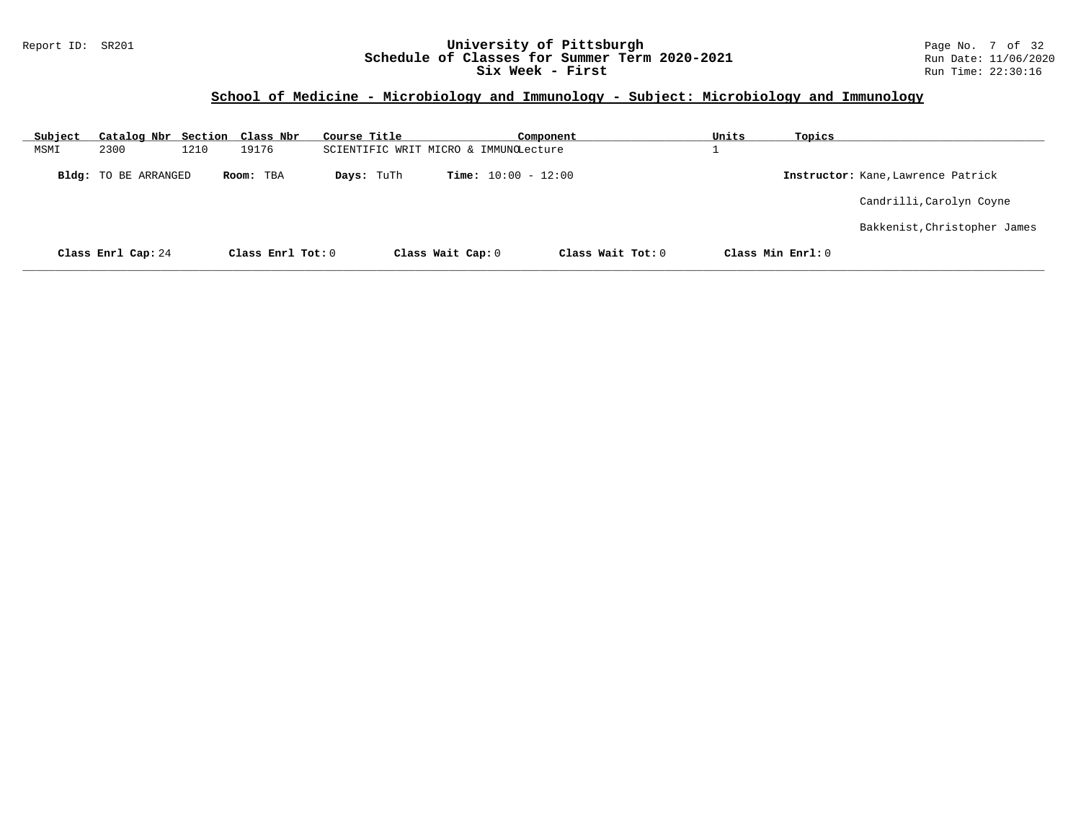### Report ID: SR201 **University of Pittsburgh** Page No. 7 of 32 **Schedule of Classes for Summer Term 2020-2021** Run Date: 11/06/2020 **Six Week - First Run Time: 22:30:16** Run Time: 22:30:16

# **School of Medicine - Microbiology and Immunology - Subject: Microbiology and Immunology**

| Subject | Catalog Nbr Section Class Nbr |      |                   | Course Title |                                       | Component                    |                   | Units | Topics            |                                    |
|---------|-------------------------------|------|-------------------|--------------|---------------------------------------|------------------------------|-------------------|-------|-------------------|------------------------------------|
| MSMI    | 2300                          | 1210 | 19176             |              | SCIENTIFIC WRIT MICRO & IMMUNOLecture |                              |                   |       |                   |                                    |
|         | Bldg: TO BE ARRANGED          |      | Room: TBA         | Days: TuTh   |                                       | <b>Time:</b> $10:00 - 12:00$ |                   |       |                   | Instructor: Kane, Lawrence Patrick |
|         |                               |      |                   |              |                                       |                              |                   |       |                   | Candrilli, Carolyn Coyne           |
|         |                               |      |                   |              |                                       |                              |                   |       |                   | Bakkenist, Christopher James       |
|         | Class Enrl Cap: 24            |      | Class Enrl Tot: 0 |              | Class Wait Cap: 0                     |                              | Class Wait Tot: 0 |       | Class Min Enrl: 0 |                                    |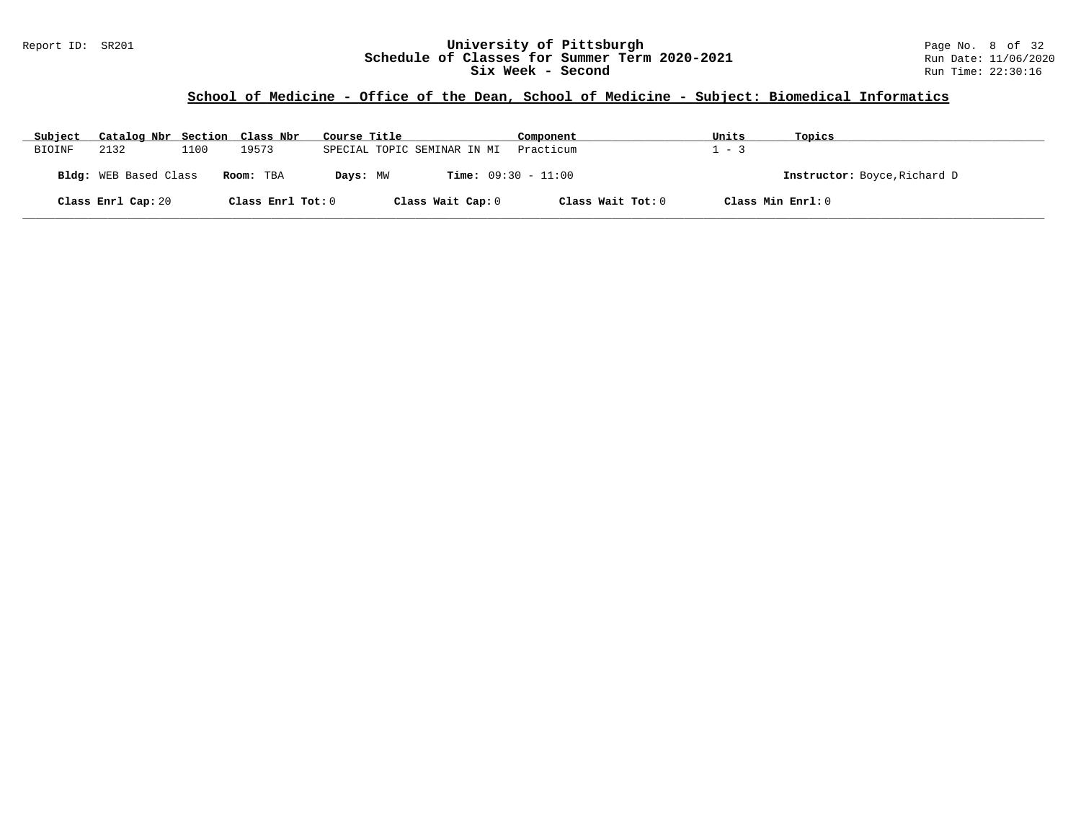### Report ID: SR201 **University of Pittsburgh** Page No. 8 of 32 **Schedule of Classes for Summer Term 2020-2021** Run Date: 11/06/2020 **Six Week - Second Run Time: 22:30:16**

### **School of Medicine - Office of the Dean, School of Medicine - Subject: Biomedical Informatics**

| Subject | Catalog Nbr Section Class Nbr |      |                   | Course Title                             | Component         | Units   | Topics                       |
|---------|-------------------------------|------|-------------------|------------------------------------------|-------------------|---------|------------------------------|
| BIOINF  | 2132                          | 1100 | 19573             | SPECIAL TOPIC SEMINAR IN MI              | Practicum         | $1 - 3$ |                              |
|         | Bldg: WEB Based Class         |      | Room: TBA         | <b>Time:</b> $09:30 - 11:00$<br>Days: MW |                   |         | Instructor: Boyce, Richard D |
|         | Class Enrl Cap: 20            |      | Class Enrl Tot: 0 | Class Wait Cap: 0                        | Class Wait Tot: 0 |         | Class Min Enrl: 0            |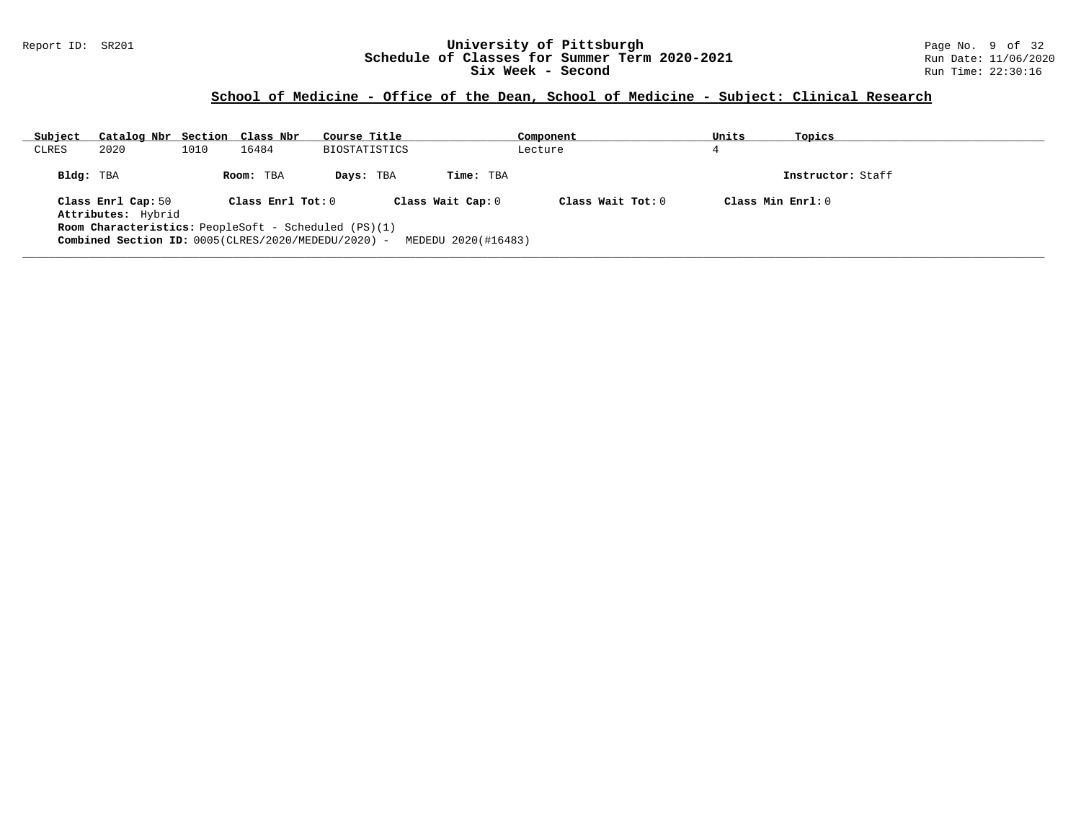#### Report ID: SR201 **University of Pittsburgh** Page No. 9 of 32 **Schedule of Classes for Summer Term 2020-2021** Run Date: 11/06/2020 **Six Week - Second Run Time: 22:30:16**

# **School of Medicine - Office of the Dean, School of Medicine - Subject: Clinical Research**

| Subject   | Catalog Nbr Section Class Nbr                                                                                                                                    |      |                                | Course Title  |                                                       | Component           | Units               | Topics            |
|-----------|------------------------------------------------------------------------------------------------------------------------------------------------------------------|------|--------------------------------|---------------|-------------------------------------------------------|---------------------|---------------------|-------------------|
| CLRES     | 2020                                                                                                                                                             | 1010 | 16484                          | BIOSTATISTICS |                                                       | Lecture             |                     |                   |
| Bldg: TBA | Class Enrl Cap: 50<br>Attributes: Hybrid<br><b>Room Characteristics:</b> PeopleSoft - Scheduled $(PS)(1)$<br>Combined Section ID: 0005(CLRES/2020/MEDEDU/2020) - |      | Room: TBA<br>Class Enrl Tot: 0 | Days: TBA     | Time: TBA<br>Class Wait Cap: 0<br>MEDEDU 2020(#16483) | Class Wait $Tot: 0$ | Class Min $Enrl: 0$ | Instructor: Staff |

**\_\_\_\_\_\_\_\_\_\_\_\_\_\_\_\_\_\_\_\_\_\_\_\_\_\_\_\_\_\_\_\_\_\_\_\_\_\_\_\_\_\_\_\_\_\_\_\_\_\_\_\_\_\_\_\_\_\_\_\_\_\_\_\_\_\_\_\_\_\_\_\_\_\_\_\_\_\_\_\_\_\_\_\_\_\_\_\_\_\_\_\_\_\_\_\_\_\_\_\_\_\_\_\_\_\_\_\_\_\_\_\_\_\_\_\_\_\_\_\_\_\_\_\_\_\_\_\_\_\_\_\_\_\_\_\_\_\_\_\_\_\_\_\_\_\_\_\_\_\_\_\_\_\_\_\_**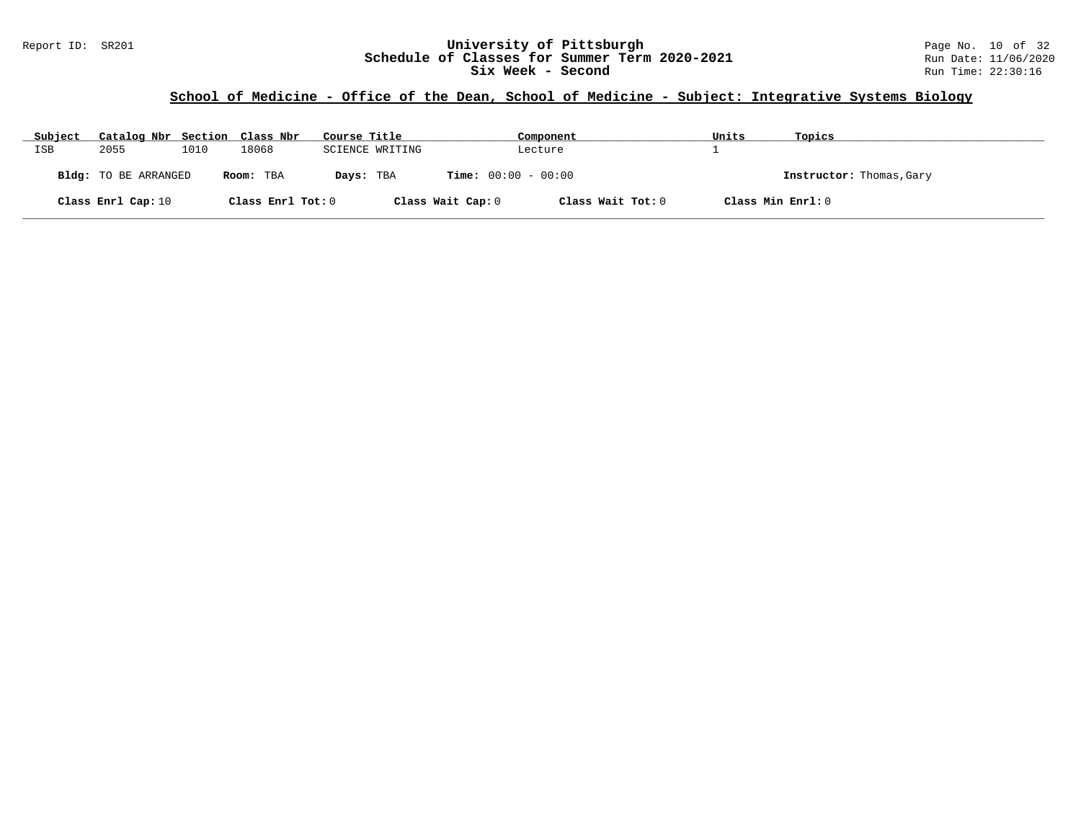### **School of Medicine - Office of the Dean, School of Medicine - Subject: Integrative Systems Biology**

| Subject    | Catalog Nbr Section Class Nbr |      |                   | Course Title    |                              | Component         | Units | Topics                   |
|------------|-------------------------------|------|-------------------|-----------------|------------------------------|-------------------|-------|--------------------------|
| <b>ISB</b> | 2055                          | 1010 | 18068             | SCIENCE WRITING |                              | Lecture           |       |                          |
|            | Bldg: TO BE ARRANGED          |      | Room: TBA         | Days: TBA       | <b>Time:</b> $00:00 - 00:00$ |                   |       | Instructor: Thomas, Gary |
|            | Class Enrl Cap: 10            |      | Class Enrl Tot: 0 |                 | Class Wait Cap: 0            | Class Wait Tot: 0 |       | Class Min Enrl: 0        |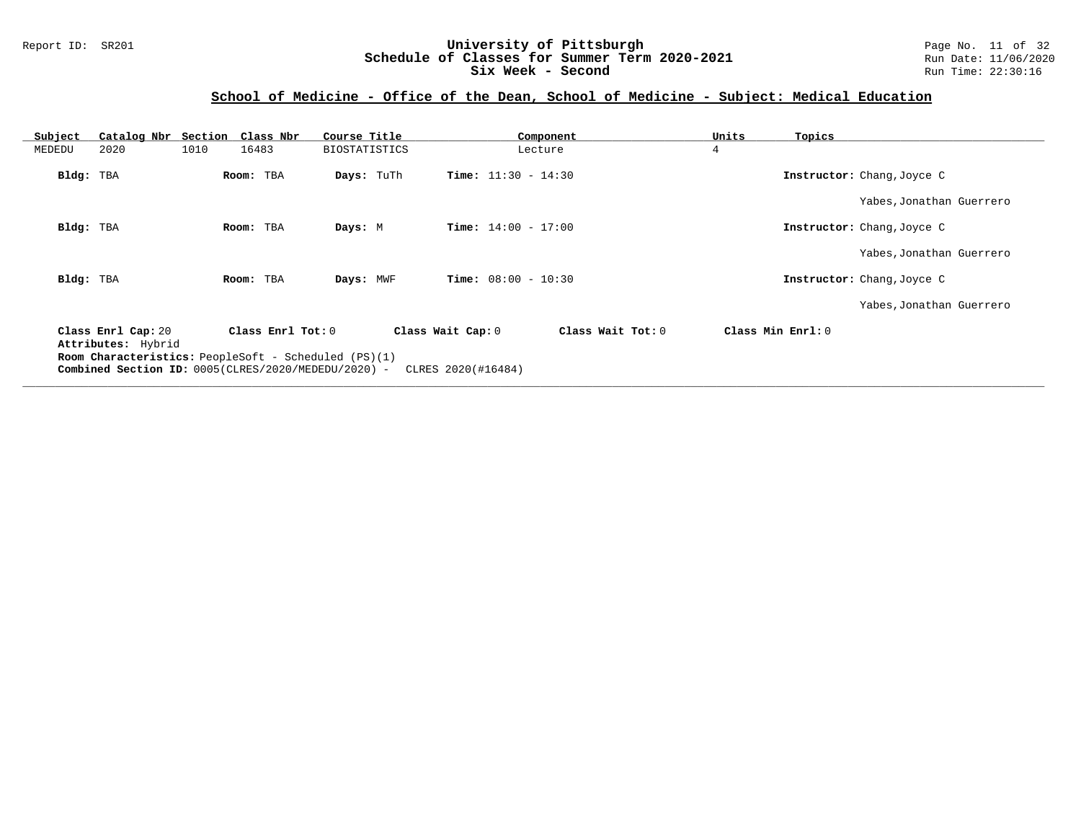### Report ID: SR201 **University of Pittsburgh** Page No. 11 of 32 **Schedule of Classes for Summer Term 2020-2021** Run Date: 11/06/2020 **Six Week - Second Run Time: 22:30:16**

# **School of Medicine - Office of the Dean, School of Medicine - Subject: Medical Education**

| 16483<br><b>BIOSTATISTICS</b> |                                                          |                                                                                                                                                          |                                                                                                                                         |                            |
|-------------------------------|----------------------------------------------------------|----------------------------------------------------------------------------------------------------------------------------------------------------------|-----------------------------------------------------------------------------------------------------------------------------------------|----------------------------|
|                               |                                                          | Lecture                                                                                                                                                  | $\overline{4}$                                                                                                                          |                            |
|                               |                                                          |                                                                                                                                                          |                                                                                                                                         | Instructor: Chang, Joyce C |
|                               |                                                          |                                                                                                                                                          |                                                                                                                                         | Yabes, Jonathan Guerrero   |
|                               |                                                          |                                                                                                                                                          |                                                                                                                                         | Instructor: Chang, Joyce C |
|                               |                                                          |                                                                                                                                                          |                                                                                                                                         | Yabes, Jonathan Guerrero   |
|                               |                                                          |                                                                                                                                                          |                                                                                                                                         | Instructor: Chang, Joyce C |
|                               |                                                          |                                                                                                                                                          |                                                                                                                                         | Yabes, Jonathan Guerrero   |
|                               |                                                          | Class Wait Tot: 0                                                                                                                                        | Class Min Enrl: 0                                                                                                                       |                            |
|                               | Room: TBA<br>Room: TBA<br>Room: TBA<br>Class Enrl Tot: 0 | Days: TuTh<br>Days: M<br>Days: MWF<br><b>Room Characteristics:</b> PeopleSoft - Scheduled (PS)(1)<br>Combined Section ID: 0005(CLRES/2020/MEDEDU/2020) - | <b>Time:</b> $11:30 - 14:30$<br><b>Time:</b> $14:00 - 17:00$<br><b>Time:</b> $08:00 - 10:30$<br>Class Wait Cap: 0<br>CLRES 2020(#16484) |                            |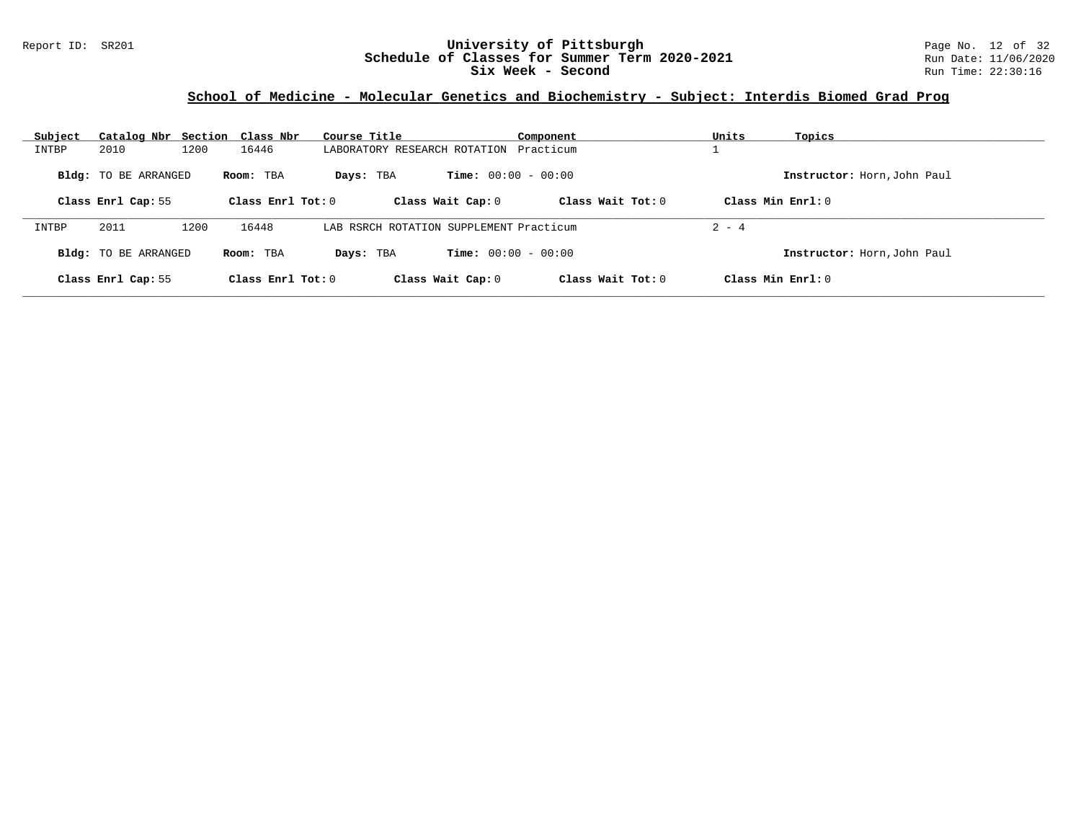### Report ID: SR201 **University of Pittsburgh** Page No. 12 of 32 **Schedule of Classes for Summer Term 2020-2021** Run Date: 11/06/2020 **Six Week - Second Run Time: 22:30:16**

# **School of Medicine - Molecular Genetics and Biochemistry - Subject: Interdis Biomed Grad Prog**

| Subject |                             | Catalog Nbr Section Class Nbr | Course Title        |                                         | Component           | Units<br>Topics             |  |
|---------|-----------------------------|-------------------------------|---------------------|-----------------------------------------|---------------------|-----------------------------|--|
| INTBP   | 2010                        | 1200<br>16446                 |                     | LABORATORY RESEARCH ROTATION            | Practicum           |                             |  |
|         | <b>Bldg:</b> TO BE ARRANGED | Room: TBA                     | Days: TBA           | <b>Time:</b> $00:00 - 00:00$            |                     | Instructor: Horn, John Paul |  |
|         | Class Enrl Cap: 55          |                               | Class Enrl Tot: $0$ | Class Wait Cap: 0                       | Class Wait $Tot: 0$ | Class Min $Enrl: 0$         |  |
| INTBP   | 2011                        | 16448<br>1200                 |                     | LAB RSRCH ROTATION SUPPLEMENT Practicum |                     | $2 - 4$                     |  |
|         | Bldg: TO BE ARRANGED        | Room: TBA                     | Days: TBA           | <b>Time:</b> $00:00 - 00:00$            |                     | Instructor: Horn, John Paul |  |
|         | Class Enrl Cap: 55          |                               | Class Enrl Tot: $0$ | Class Wait Cap: 0                       | Class Wait $Tot: 0$ | Class Min Enrl: 0           |  |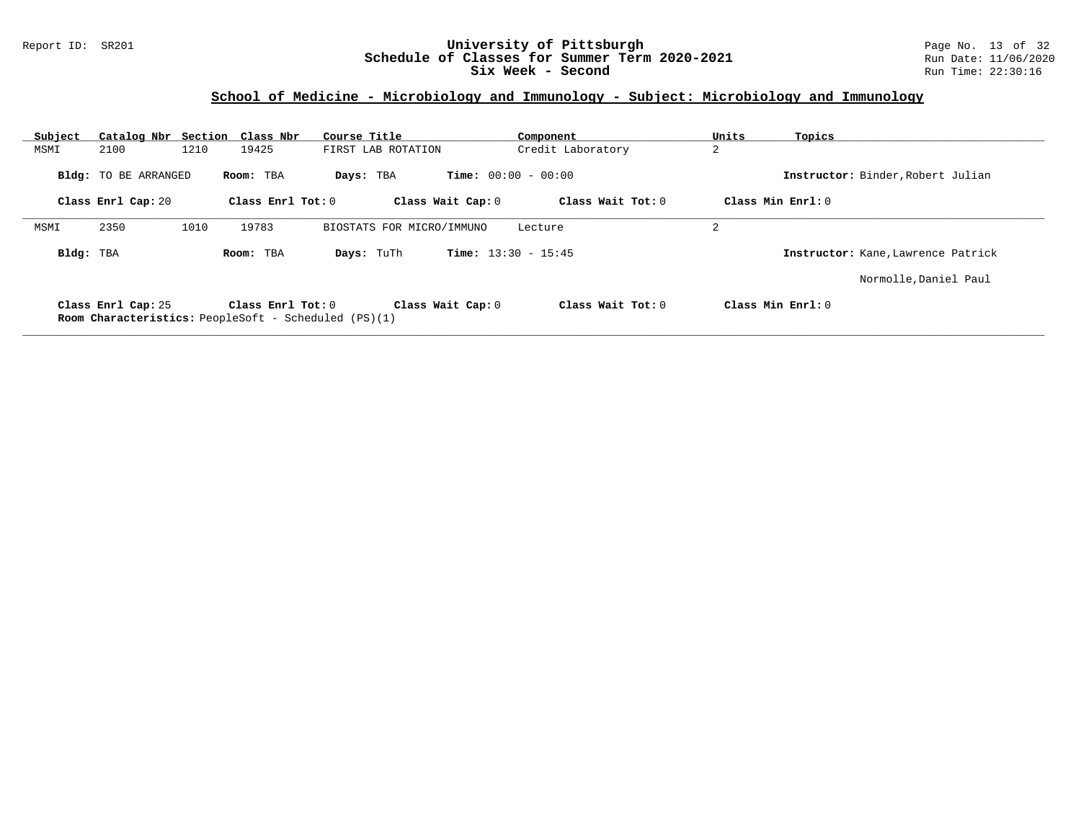### Report ID: SR201 **University of Pittsburgh** Page No. 13 of 32 **Schedule of Classes for Summer Term 2020-2021** Run Date: 11/06/2020 **Six Week - Second Run Time: 22:30:16**

# **School of Medicine - Microbiology and Immunology - Subject: Microbiology and Immunology**

| Subject   | Catalog Nbr Section Class Nbr |      |                       | Course Title                                                | Component                    | Units | Topics                             |
|-----------|-------------------------------|------|-----------------------|-------------------------------------------------------------|------------------------------|-------|------------------------------------|
| MSMI      | 2100                          | 1210 | 19425                 | FIRST LAB ROTATION                                          | Credit Laboratory            | 2     |                                    |
|           | <b>Bldg:</b> TO BE ARRANGED   |      | Room: TBA             | Days: TBA                                                   | <b>Time:</b> $00:00 - 00:00$ |       | Instructor: Binder, Robert Julian  |
|           | Class Enrl Cap: 20            |      | Class Enrl Tot: 0     | Class Wait Cap: 0                                           | Class Wait Tot: 0            |       | Class Min Enrl: 0                  |
| MSMI      | 2350                          | 1010 | 19783                 | BIOSTATS FOR MICRO/IMMUNO                                   | Lecture                      | 2     |                                    |
| Bldg: TBA |                               |      | Room: TBA             | Days: TuTh                                                  | <b>Time:</b> $13:30 - 15:45$ |       | Instructor: Kane, Lawrence Patrick |
|           |                               |      |                       |                                                             |                              |       | Normolle, Daniel Paul              |
|           | Class Enrl Cap: 25            |      | Class $Enr1$ Tot: $0$ | Class Wait Cap: 0                                           | Class Wait $Tot: 0$          |       | Class Min Enrl: 0                  |
|           |                               |      |                       | <b>Room Characteristics:</b> PeopleSoft - Scheduled (PS)(1) |                              |       |                                    |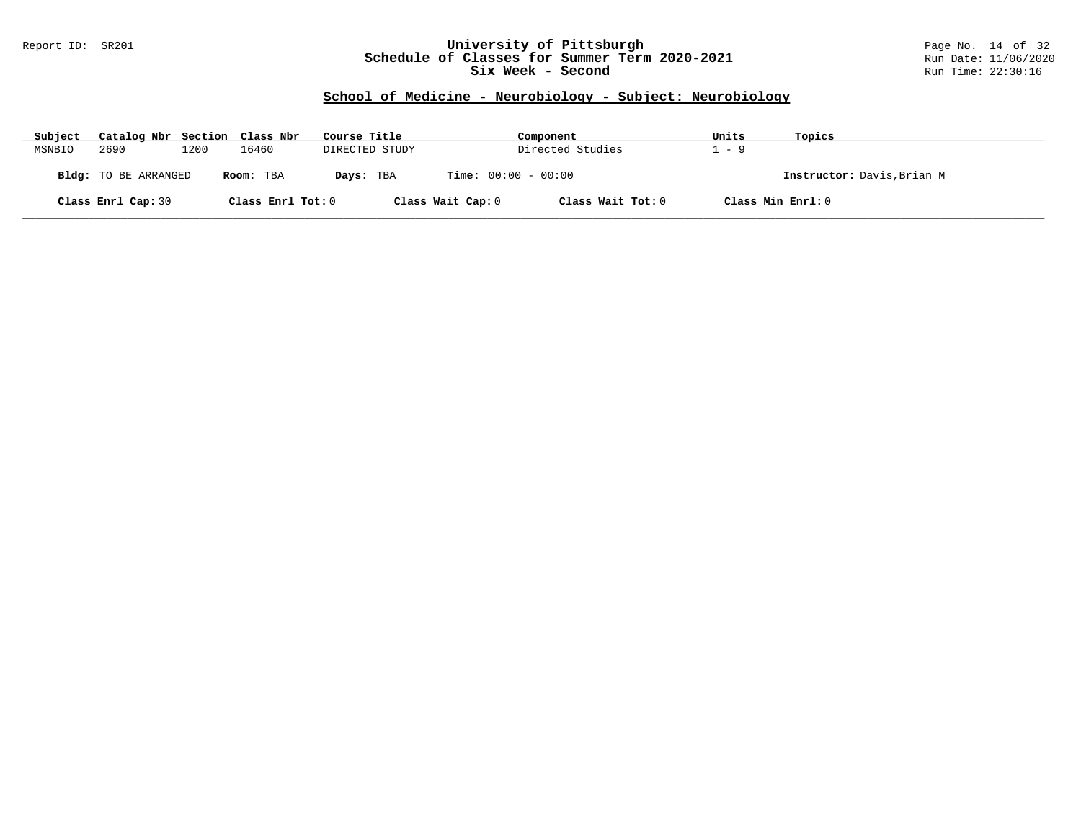### Report ID: SR201 **University of Pittsburgh** Page No. 14 of 32 **Schedule of Classes for Summer Term 2020-2021** Run Date: 11/06/2020 **Six Week - Second Run Time: 22:30:16**

### **School of Medicine - Neurobiology - Subject: Neurobiology**

| Subject | Catalog Nbr Section Class Nbr |      |                   | Course Title   |                              | Component         | Units | Topics                     |
|---------|-------------------------------|------|-------------------|----------------|------------------------------|-------------------|-------|----------------------------|
| MSNBIO  | 2690                          | 1200 | 16460             | DIRECTED STUDY |                              | Directed Studies  | $-9$  |                            |
|         | Bldg: TO BE ARRANGED          |      | Room: TBA         | Days: TBA      | <b>Time:</b> $00:00 - 00:00$ |                   |       | Instructor: Davis, Brian M |
|         | Class Enrl Cap: 30            |      | Class Enrl Tot: 0 |                | Class Wait Cap: 0            | Class Wait Tot: 0 |       | Class Min Enrl: 0          |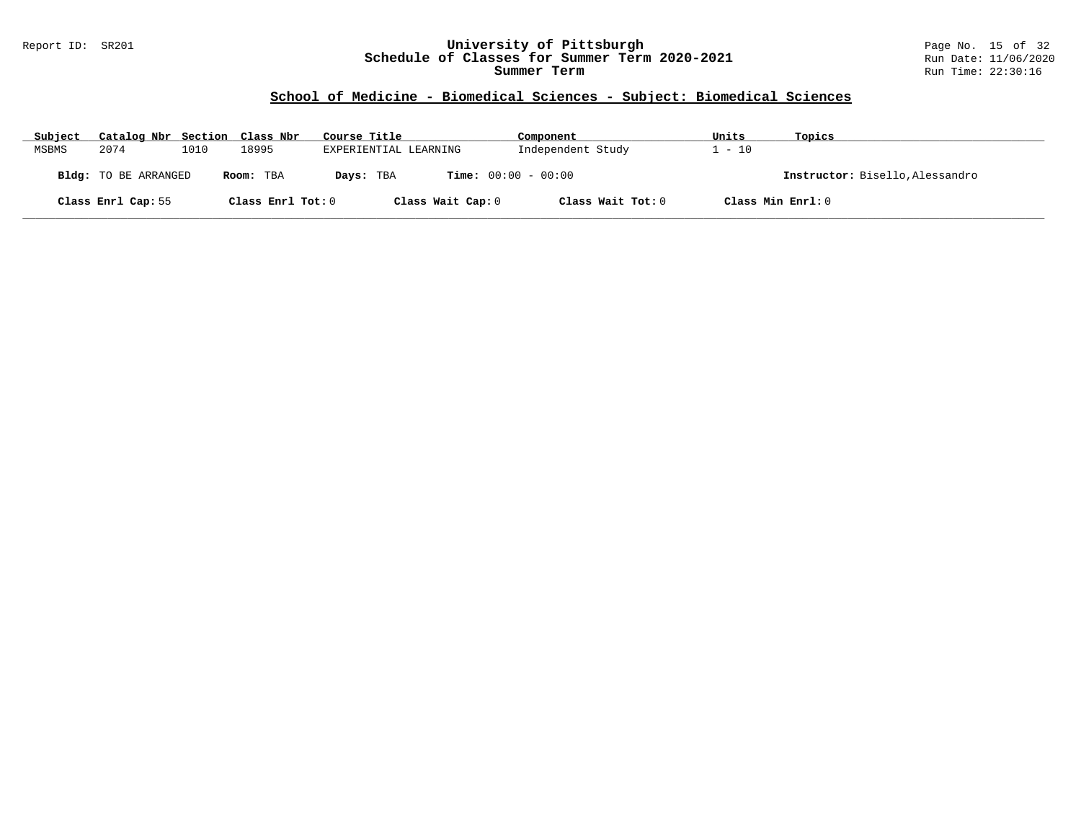### Report ID: SR201 **University of Pittsburgh** Page No. 15 of 32 **Schedule of Classes for Summer Term 2020-2021** Run Date: 11/06/2020 **Summer Term** Run Time: 22:30:16

# **School of Medicine - Biomedical Sciences - Subject: Biomedical Sciences**

| Subject | Catalog Nbr Section Class Nbr |      |                   | Course Title          | Component                    | Units             | Topics                          |
|---------|-------------------------------|------|-------------------|-----------------------|------------------------------|-------------------|---------------------------------|
| MSBMS   | 2074                          | 1010 | 18995             | EXPERIENTIAL LEARNING | Independent Study            | $-10$             |                                 |
|         | <b>Bldg:</b> TO BE ARRANGED   |      | Room: TBA         | Days: TBA             | <b>Time:</b> $00:00 - 00:00$ |                   | Instructor: Bisello, Alessandro |
|         | Class Enrl Cap: 55            |      | Class Enrl Tot: 0 | Class Wait Cap: 0     | Class Wait Tot: 0            | Class Min Enrl: 0 |                                 |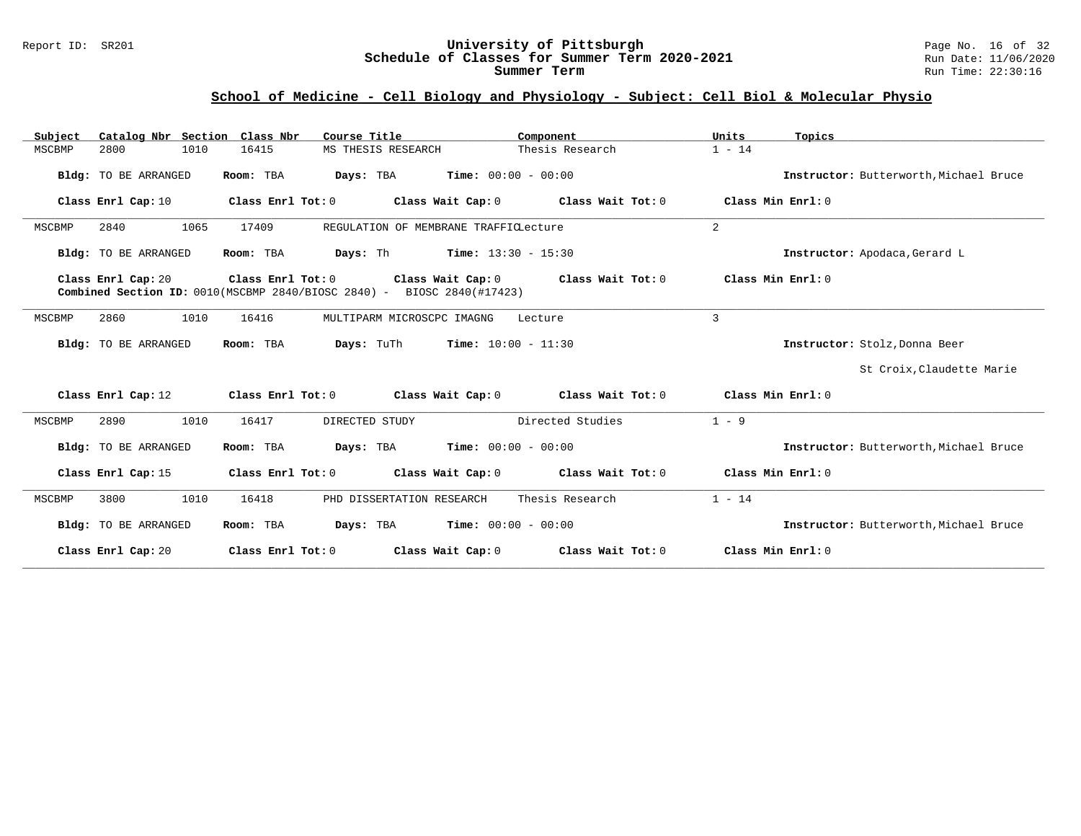### Report ID: SR201 **University of Pittsburgh** Page No. 16 of 32 **Schedule of Classes for Summer Term 2020-2021** Run Date: 11/06/2020 **Summer Term** Run Time: 22:30:16

### **School of Medicine - Cell Biology and Physiology - Subject: Cell Biol & Molecular Physio**

| Catalog Nbr Section Class Nbr<br>Subject | Course Title                                                                                         | Component                               | Units<br>Topics                        |
|------------------------------------------|------------------------------------------------------------------------------------------------------|-----------------------------------------|----------------------------------------|
| 1010<br>MSCBMP<br>2800                   | 16415<br>MS THESIS RESEARCH                                                                          | Thesis Research                         | $1 - 14$                               |
| Bldg: TO BE ARRANGED                     | <b>Days:</b> TBA <b>Time:</b> $00:00 - 00:00$<br>Room: TBA                                           |                                         | Instructor: Butterworth, Michael Bruce |
| Class Enrl Cap: 10                       | Class Enrl Tot: 0                                                                                    | Class Wait Cap: 0 Class Wait Tot: 0     | Class Min Enrl: 0                      |
| 1065<br>MSCBMP<br>2840                   | 17409<br>REGULATION OF MEMBRANE TRAFFICLecture                                                       |                                         | 2                                      |
| Bldg: TO BE ARRANGED                     | <b>Days:</b> Th <b>Time:</b> $13:30 - 15:30$<br>Room: TBA                                            |                                         | Instructor: Apodaca, Gerard L          |
| Class Enrl Cap: 20                       | Class Enrl Tot: 0<br><b>Combined Section ID:</b> $0010(MSCBMP 2840/BIOSC 2840) - BIOSC 2840(H17423)$ | Class Wait Cap: 0 Class Wait Tot: 0     | Class Min Enrl: 0                      |
| MSCBMP<br>2860<br>1010                   | 16416<br>MULTIPARM MICROSCPC IMAGNG                                                                  | Lecture                                 | 3                                      |
| Bldg: TO BE ARRANGED                     | Room: TBA<br><b>Days:</b> TuTh <b>Time:</b> $10:00 - 11:30$                                          |                                         | Instructor: Stolz, Donna Beer          |
|                                          |                                                                                                      |                                         | St Croix, Claudette Marie              |
| Class Enrl Cap: 12                       | Class Enrl Tot: 0                                                                                    | Class Wait Cap: 0 Class Wait Tot: 0     | Class Min Enrl: 0                      |
| MSCBMP<br>2890<br>1010                   | 16417<br>DIRECTED STUDY                                                                              | Directed Studies                        | $1 - 9$                                |
| Bldg: TO BE ARRANGED                     | <b>Days:</b> TBA <b>Time:</b> $00:00 - 00:00$<br>Room: TBA                                           |                                         | Instructor: Butterworth, Michael Bruce |
| Class Enrl Cap: 15                       | Class Enrl Tot: 0                                                                                    | Class Wait Cap: $0$ Class Wait Tot: $0$ | Class Min Enrl: 0                      |
| MSCBMP<br>3800<br>1010                   | 16418<br>PHD DISSERTATION RESEARCH                                                                   | Thesis Research                         | $1 - 14$                               |
| Bldg: TO BE ARRANGED                     | Room: TBA<br><b>Days:</b> TBA <b>Time:</b> $00:00 - 00:00$                                           |                                         | Instructor: Butterworth, Michael Bruce |
| Class Enrl Cap: 20                       | Class Enrl Tot: 0                                                                                    | Class Wait Cap: $0$ Class Wait Tot: $0$ | Class Min Enrl: 0                      |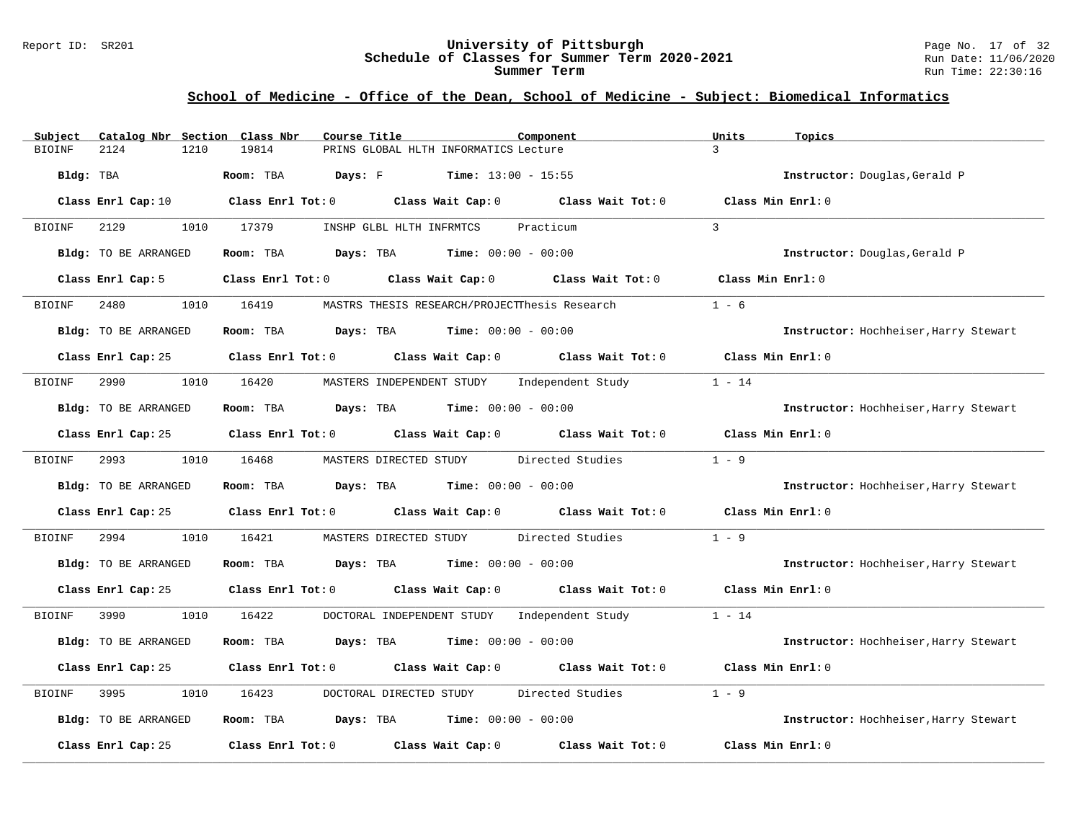#### Report ID: SR201 **University of Pittsburgh** Page No. 17 of 32 **Schedule of Classes for Summer Term 2020-2021** Run Date: 11/06/2020 **Summer Term** Run Time: 22:30:16

### **School of Medicine - Office of the Dean, School of Medicine - Subject: Biomedical Informatics**

| Catalog Nbr Section Class Nbr<br>Subject | Course Title<br>Component                                                                  | Units                       | Topics                                |
|------------------------------------------|--------------------------------------------------------------------------------------------|-----------------------------|---------------------------------------|
| 2124<br>1210<br><b>BIOINF</b>            | 19814<br>PRINS GLOBAL HLTH INFORMATICS Lecture                                             | $\mathcal{E}$               |                                       |
| Bldg: TBA                                | <b>Days:</b> F <b>Time:</b> $13:00 - 15:55$<br>Room: TBA                                   |                             | Instructor: Douglas, Gerald P         |
| Class Enrl Cap: 10                       | Class Enrl Tot: $0$ Class Wait Cap: $0$ Class Wait Tot: $0$                                |                             | Class Min Enrl: 0                     |
| 2129<br>BIOINF                           | 1010 17379<br>INSHP GLBL HLTH INFRMTCS<br>Practicum                                        | $\mathbf{3}$                |                                       |
| Bldg: TO BE ARRANGED                     | Room: TBA $Days:$ TBA $Time: 00:00 - 00:00$                                                |                             | Instructor: Douglas, Gerald P         |
| Class Enrl Cap: 5                        | Class Enrl Tot: 0 Class Wait Cap: 0 Class Wait Tot: 0                                      |                             | Class Min Enrl: 0                     |
| 2480<br><b>BIOINF</b>                    | 1010 16419<br>MASTRS THESIS RESEARCH/PROJECTThesis Research                                | $1 - 6$                     |                                       |
| Bldg: TO BE ARRANGED                     | Room: TBA $Days:$ TBA $Time: 00:00 - 00:00$                                                |                             | Instructor: Hochheiser, Harry Stewart |
|                                          | Class Enrl Cap: 25 Class Enrl Tot: 0 Class Wait Cap: 0 Class Wait Tot: 0 Class Min Enrl: 0 |                             |                                       |
| 1010 16420<br>BIOINF<br>2990             | MASTERS INDEPENDENT STUDY Independent Study                                                | $1 - 14$                    |                                       |
| Bldg: TO BE ARRANGED                     | Room: TBA $Days:$ TBA $Time: 00:00 - 00:00$                                                |                             | Instructor: Hochheiser, Harry Stewart |
|                                          | Class Enrl Cap: 25 Class Enrl Tot: 0 Class Wait Cap: 0 Class Wait Tot: 0                   |                             | Class Min $Enr1:0$                    |
| BIOINF                                   | 1010 16468<br>MASTERS DIRECTED STUDY Directed Studies                                      | $1 - 9$                     |                                       |
| Bldg: TO BE ARRANGED                     | Room: TBA $\rule{1em}{0.15mm}$ Days: TBA Time: $00:00 - 00:00$                             |                             | Instructor: Hochheiser, Harry Stewart |
|                                          | Class Enrl Cap: 25 Class Enrl Tot: 0 Class Wait Cap: 0 Class Wait Tot: 0 Class Min Enrl: 0 |                             |                                       |
| BIOINF<br>2994<br>1010                   | MASTERS DIRECTED STUDY Directed Studies<br>16421                                           | $1 - 9$                     |                                       |
| Bldg: TO BE ARRANGED                     | Room: TBA $Days:$ TBA $Time: 00:00 - 00:00$                                                |                             | Instructor: Hochheiser, Harry Stewart |
|                                          | Class Enrl Cap: 25 Class Enrl Tot: 0 Class Wait Cap: 0 Class Wait Tot: 0 Class Min Enrl: 0 |                             |                                       |
| 3990 000<br>BIOINF                       | 1010 16422<br>DOCTORAL INDEPENDENT STUDY Independent Study 1 - 14                          |                             |                                       |
| Bldg: TO BE ARRANGED                     | Room: TBA $Days:$ TBA $Time: 00:00 - 00:00$                                                |                             | Instructor: Hochheiser, Harry Stewart |
|                                          | Class Enrl Cap: 25 Class Enrl Tot: 0 Class Wait Cap: 0 Class Wait Tot: 0                   |                             | Class Min Enrl: 0                     |
| BIOINF<br>3995<br>1010                   | DOCTORAL DIRECTED STUDY<br>16423                                                           | $1 - 9$<br>Directed Studies |                                       |
| Bldg: TO BE ARRANGED                     | Room: TBA $\rule{1em}{0.15mm}$ Days: TBA $\rule{1.15mm}]{0.15mm}$ Time: $0.000 - 0.0000$   |                             | Instructor: Hochheiser, Harry Stewart |
| Class Enrl Cap: 25                       | Class Enrl Tot: $0$ Class Wait Cap: $0$                                                    | Class Wait Tot: 0           | Class Min Enrl: 0                     |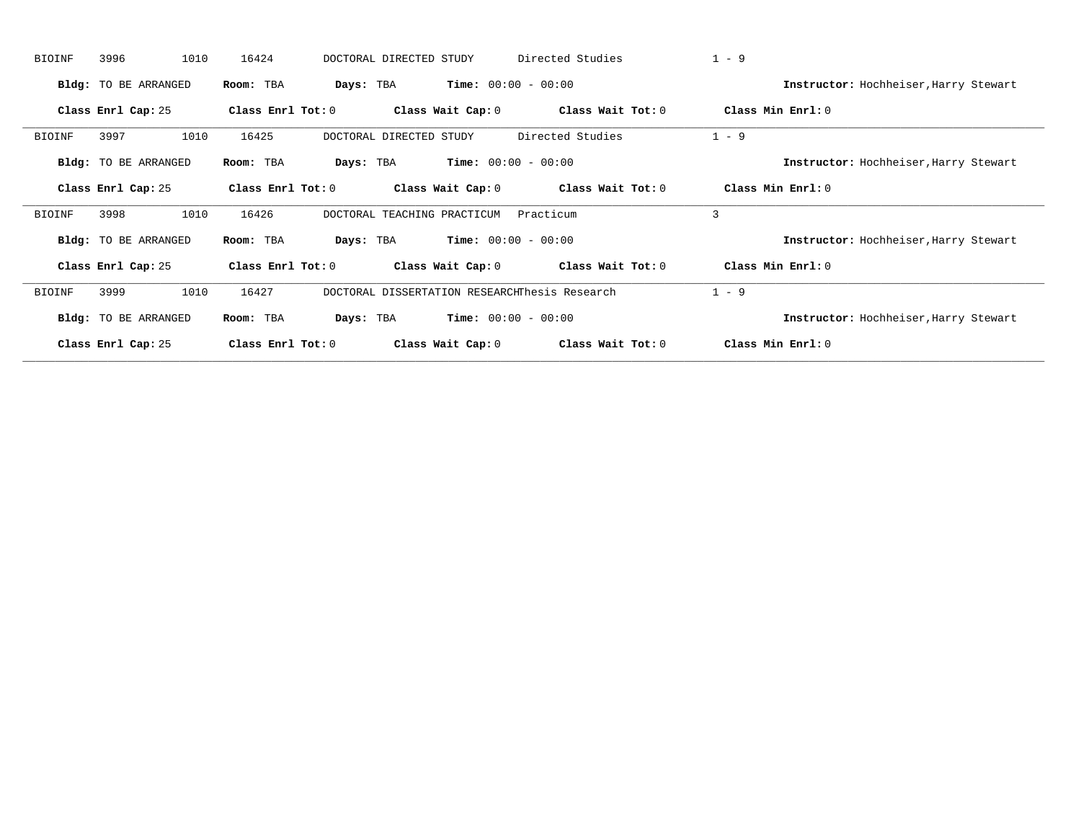| <b>BIOINF</b> | 3996                 | 1010<br>16424     | DOCTORAL DIRECTED STUDY                       |                              | Directed Studies  | $1 - 9$                               |
|---------------|----------------------|-------------------|-----------------------------------------------|------------------------------|-------------------|---------------------------------------|
|               | Bldg: TO BE ARRANGED | Room: TBA         | Days: TBA                                     | <b>Time:</b> $00:00 - 00:00$ |                   | Instructor: Hochheiser, Harry Stewart |
|               | Class Enrl Cap: 25   | Class Enrl Tot: 0 | Class Wait Cap: 0                             |                              | Class Wait Tot: 0 | Class Min Enrl: 0                     |
| <b>BIOINF</b> | 3997                 | 16425<br>1010     | DOCTORAL DIRECTED STUDY                       |                              | Directed Studies  | $1 - 9$                               |
|               | Bldg: TO BE ARRANGED | Room: TBA         | Days: TBA                                     | <b>Time:</b> $00:00 - 00:00$ |                   | Instructor: Hochheiser, Harry Stewart |
|               | Class Enrl Cap: 25   | Class Enrl Tot: 0 | Class Wait Cap: 0                             |                              | Class Wait Tot: 0 | Class Min Enrl: 0                     |
| <b>BIOINF</b> | 3998                 | 1010<br>16426     | DOCTORAL TEACHING PRACTICUM                   |                              | Practicum         | 3                                     |
|               | Bldg: TO BE ARRANGED | Room: TBA         | Days: TBA                                     | <b>Time:</b> $00:00 - 00:00$ |                   | Instructor: Hochheiser, Harry Stewart |
|               | Class Enrl Cap: 25   | Class Enrl Tot: 0 | Class Wait Cap: 0                             |                              | Class Wait Tot: 0 | Class Min Enrl: 0                     |
| BIOINF        | 3999                 | 16427<br>1010     | DOCTORAL DISSERTATION RESEARCHThesis Research |                              |                   | $1 - 9$                               |
|               | Bldg: TO BE ARRANGED | Room: TBA         | Days: TBA                                     | <b>Time:</b> $00:00 - 00:00$ |                   | Instructor: Hochheiser, Harry Stewart |
|               | Class Enrl Cap: 25   | Class Enrl Tot: 0 |                                               | Class Wait Cap: 0            | Class Wait Tot: 0 | Class Min Enrl: 0                     |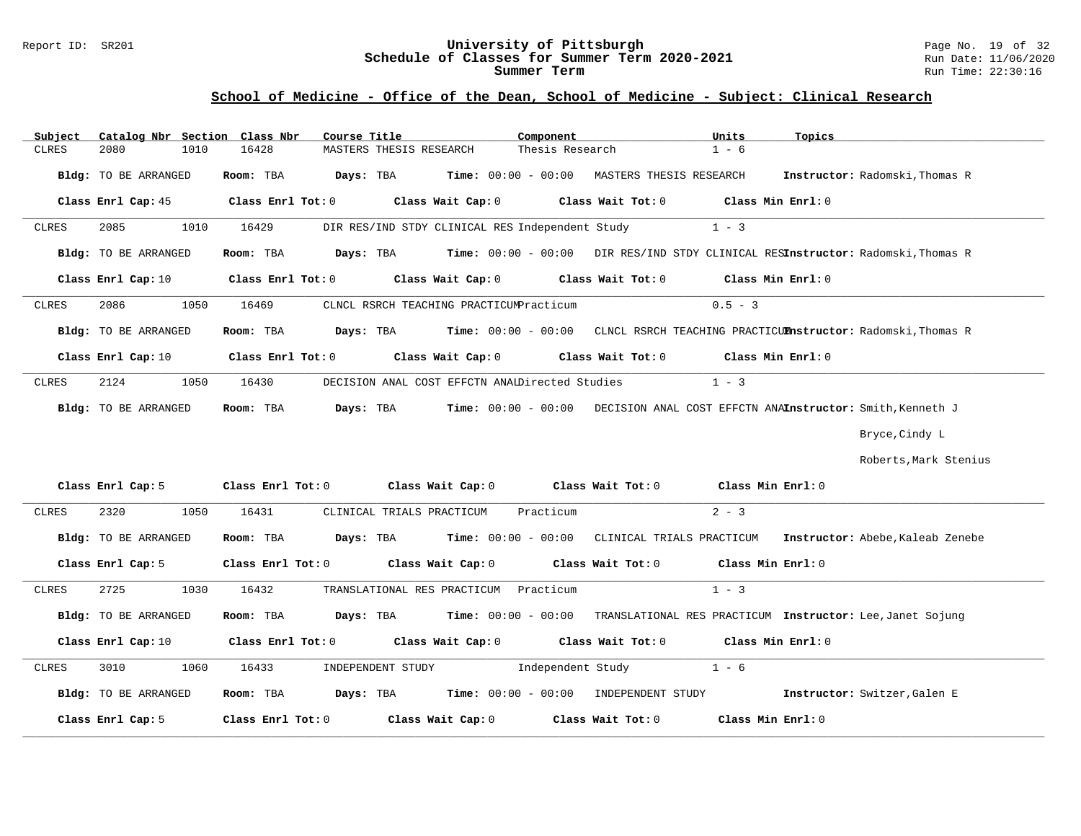# Report ID: SR201 **19 of 32**<br>**Schedule of Classes for Summer Term 2020-2021** Page No. 19 of 32<br>Run Date: 11/06/2020 Schedule of Classes for Summer Term 2020-2021

### **School of Medicine - Office of the Dean, School of Medicine - Subject: Clinical Research**

| Subject | Catalog Nbr Section  | Class Nbr         | Course Title                                          |                                                 | Component                                                             | Units<br>Topics                                                                                    |                                                                                                            |
|---------|----------------------|-------------------|-------------------------------------------------------|-------------------------------------------------|-----------------------------------------------------------------------|----------------------------------------------------------------------------------------------------|------------------------------------------------------------------------------------------------------------|
| CLRES   | 2080                 | 1010<br>16428     | MASTERS THESIS RESEARCH                               |                                                 | Thesis Research                                                       | $1 - 6$                                                                                            |                                                                                                            |
|         |                      |                   |                                                       |                                                 |                                                                       |                                                                                                    |                                                                                                            |
|         | Bldg: TO BE ARRANGED | Room: TBA         |                                                       |                                                 | <b>Days:</b> TBA <b>Time:</b> 00:00 - 00:00   MASTERS THESIS RESEARCH |                                                                                                    | Instructor: Radomski, Thomas R                                                                             |
|         | Class Enrl Cap: 45   |                   | $Class$ $Enr1$ $Tot: 0$                               |                                                 |                                                                       | Class Wait Cap: $0$ Class Wait Tot: $0$ Class Min Enrl: $0$                                        |                                                                                                            |
|         |                      |                   |                                                       |                                                 |                                                                       |                                                                                                    |                                                                                                            |
| CLRES   | 2085                 | 1010<br>16429     |                                                       | DIR RES/IND STDY CLINICAL RES Independent Study |                                                                       | $1 - 3$                                                                                            |                                                                                                            |
|         | Bldg: TO BE ARRANGED | Room: TBA         |                                                       |                                                 |                                                                       | Days: TBA        Time: 00:00 - 00:00   DIR RES/IND STDY CLINICAL RESInstructor: Radomski, Thomas R |                                                                                                            |
|         | Class Enrl Cap: 10   |                   | Class Enrl Tot: 0 Class Wait Cap: 0                   |                                                 |                                                                       | Class Wait Tot: 0 Class Min Enrl: 0                                                                |                                                                                                            |
| CLRES   | 2086                 | 1050<br>16469     |                                                       | CLNCL RSRCH TEACHING PRACTICUMPracticum         |                                                                       | $0.5 - 3$                                                                                          |                                                                                                            |
|         | Bldg: TO BE ARRANGED | Room: TBA         |                                                       |                                                 |                                                                       | Days: TBA       Time: 00:00 - 00:00   CLNCL RSRCH TEACHING PRACTICUM nstructor: Radomski,Thomas R  |                                                                                                            |
|         | Class Enrl Cap: 10   |                   | Class Enrl Tot: 0 Class Wait Cap: 0                   |                                                 |                                                                       | Class Wait Tot: 0 Class Min Enrl: 0                                                                |                                                                                                            |
| CLRES   | 2124                 | 1050<br>16430     |                                                       | DECISION ANAL COST EFFCTN ANAIDirected Studies  |                                                                       | $1 - 3$                                                                                            |                                                                                                            |
|         | Bldg: TO BE ARRANGED | Room: TBA         | Days: TBA                                             |                                                 |                                                                       | Time: 00:00 - 00:00 DECISION ANAL COST EFFCTN ANAInstructor: Smith, Kenneth J                      |                                                                                                            |
|         |                      |                   |                                                       |                                                 |                                                                       |                                                                                                    | Bryce, Cindy L                                                                                             |
|         |                      |                   |                                                       |                                                 |                                                                       |                                                                                                    | Roberts, Mark Stenius                                                                                      |
|         |                      |                   | Class Enrl Cap: 5 Class Enrl Tot: 0 Class Wait Cap: 0 |                                                 |                                                                       | Class Wait Tot: $0$ $Class Min Err1:0$                                                             |                                                                                                            |
| CLRES   | 2320                 | 1050<br>16431     | CLINICAL TRIALS PRACTICUM                             |                                                 | Practicum                                                             | $2 - 3$                                                                                            |                                                                                                            |
|         | Bldg: TO BE ARRANGED | Room: TBA         |                                                       |                                                 |                                                                       |                                                                                                    | <b>Days:</b> TBA        Time: 00:00 - 00:00   CLINICAL TRIALS PRACTICUM    Instructor: Abebe,Kaleab Zenebe |
|         | Class Enrl Cap: 5    |                   | Class Enrl Tot: 0 Class Wait Cap: 0                   |                                                 |                                                                       | Class Wait Tot: 0 Class Min Enrl: 0                                                                |                                                                                                            |
| CLRES   | 2725                 | 16432<br>1030     |                                                       | TRANSLATIONAL RES PRACTICUM Practicum           |                                                                       | $1 - 3$                                                                                            |                                                                                                            |
|         | Bldg: TO BE ARRANGED |                   |                                                       |                                                 |                                                                       | Room: TBA Days: TBA Time: 00:00 - 00:00 TRANSLATIONAL RES PRACTICUM Instructor: Lee, Janet Sojung  |                                                                                                            |
|         | Class Enrl Cap: 10   | Class Enrl Tot: 0 |                                                       | Class Wait Cap: 0                               |                                                                       | Class Wait Tot: 0 Class Min Enrl: 0                                                                |                                                                                                            |
| CLRES   | 3010                 | 1060<br>16433     |                                                       | INDEPENDENT STUDY Independent Study             |                                                                       | $1 - 6$                                                                                            |                                                                                                            |
|         | Bldg: TO BE ARRANGED |                   |                                                       |                                                 | Room: TBA bays: TBA Time: $00:00 - 00:00$ INDEPENDENT STUDY           |                                                                                                    | Instructor: Switzer, Galen E                                                                               |
|         | Class Enrl Cap: 5    | Class Enrl Tot: 0 |                                                       | Class Wait Cap: 0                               | Class Wait Tot: 0                                                     | Class Min Enrl: 0                                                                                  |                                                                                                            |

**\_\_\_\_\_\_\_\_\_\_\_\_\_\_\_\_\_\_\_\_\_\_\_\_\_\_\_\_\_\_\_\_\_\_\_\_\_\_\_\_\_\_\_\_\_\_\_\_\_\_\_\_\_\_\_\_\_\_\_\_\_\_\_\_\_\_\_\_\_\_\_\_\_\_\_\_\_\_\_\_\_\_\_\_\_\_\_\_\_\_\_\_\_\_\_\_\_\_\_\_\_\_\_\_\_\_\_\_\_\_\_\_\_\_\_\_\_\_\_\_\_\_\_\_\_\_\_\_\_\_\_\_\_\_\_\_\_\_\_\_\_\_\_\_\_\_\_\_\_\_\_\_\_\_\_\_**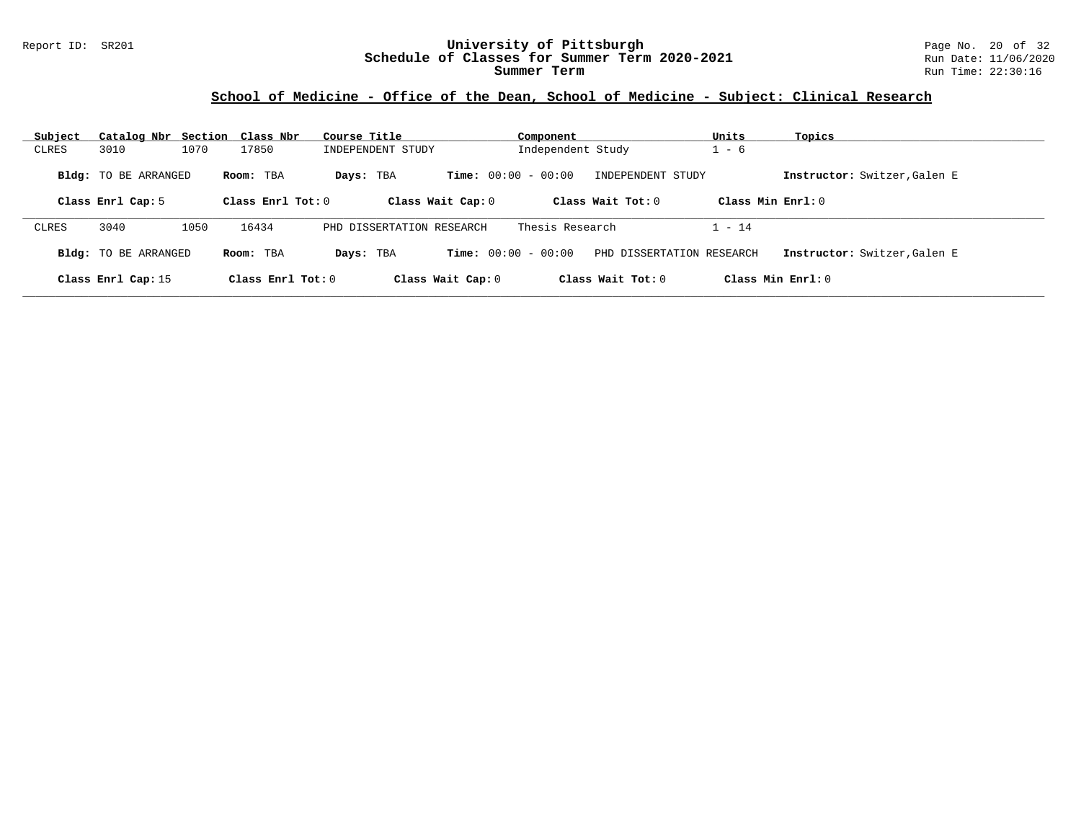### Report ID: SR201 **University of Pittsburgh** Page No. 20 of 32 **Schedule of Classes for Summer Term 2020-2021** Run Date: 11/06/2020 **Summer Term** Run Time: 22:30:16

### **School of Medicine - Office of the Dean, School of Medicine - Subject: Clinical Research**

| Subject      | Catalog Nbr                 |      | Section Class Nbr   | Course Title      |                           | Component                    |                           | Units                | Topics                       |
|--------------|-----------------------------|------|---------------------|-------------------|---------------------------|------------------------------|---------------------------|----------------------|------------------------------|
| CLRES        | 3010                        | 1070 | 17850               | INDEPENDENT STUDY |                           | Independent Study            |                           | $-6$                 |                              |
|              | <b>Bldg:</b> TO BE ARRANGED |      | Room: TBA           | Days: TBA         |                           | <b>Time:</b> $00:00 - 00:00$ | INDEPENDENT STUDY         |                      | Instructor: Switzer, Galen E |
|              | Class Enrl Cap: 5           |      | Class Enrl Tot: $0$ |                   | Class Wait Cap: 0         |                              | Class Wait Tot: $0$       | Class Min Enrl: 0    |                              |
| <b>CLRES</b> | 3040                        | 1050 | 16434               |                   | PHD DISSERTATION RESEARCH | Thesis Research              |                           | l - 14               |                              |
|              | <b>Bldg:</b> TO BE ARRANGED |      | Room: TBA           | Days: TBA         |                           | <b>Time:</b> $00:00 - 00:00$ | PHD DISSERTATION RESEARCH |                      | Instructor: Switzer, Galen E |
|              | Class Enrl Cap: 15          |      | Class Enrl Tot: $0$ |                   | Class Wait Cap: 0         |                              | Class Wait Tot: $0$       | $Class Min Ernst: 0$ |                              |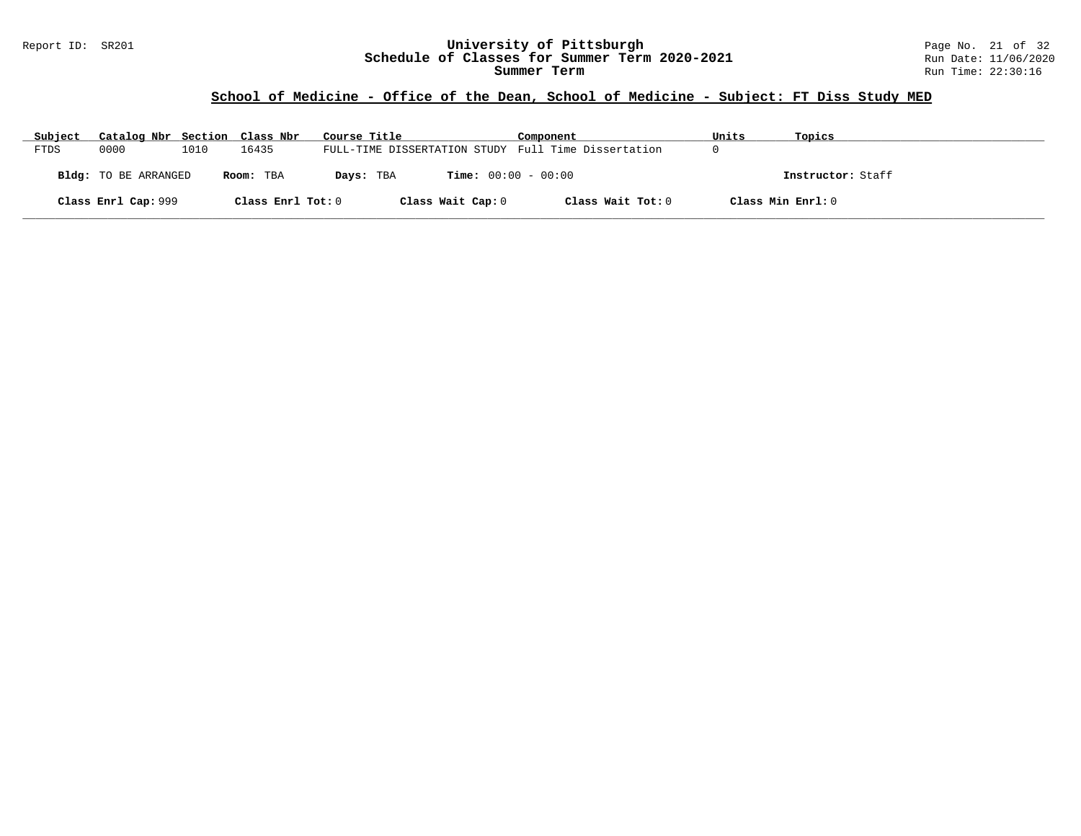### Report ID: SR201 **University of Pittsburgh** Page No. 21 of 32 **Schedule of Classes for Summer Term 2020-2021** Run Date: 11/06/2020 **Summer Term** Run Time: 22:30:16

# **School of Medicine - Office of the Dean, School of Medicine - Subject: FT Diss Study MED**

| Subject | Catalog Nbr Section Class Nbr |      |                   | Course Title                                        | Component         | Units             | Topics            |
|---------|-------------------------------|------|-------------------|-----------------------------------------------------|-------------------|-------------------|-------------------|
| FTDS    | 0000                          | 1010 | 16435             | FULL-TIME DISSERTATION STUDY Full Time Dissertation |                   |                   |                   |
|         | <b>Bldg:</b> TO BE ARRANGED   |      | Room: TBA         | <b>Time:</b> $00:00 - 00:00$<br>Days: TBA           |                   |                   | Instructor: Staff |
|         | Class Enrl Cap: 999           |      | Class Enrl Tot: 0 | Class Wait Cap: 0                                   | Class Wait Tot: 0 | Class Min Enrl: 0 |                   |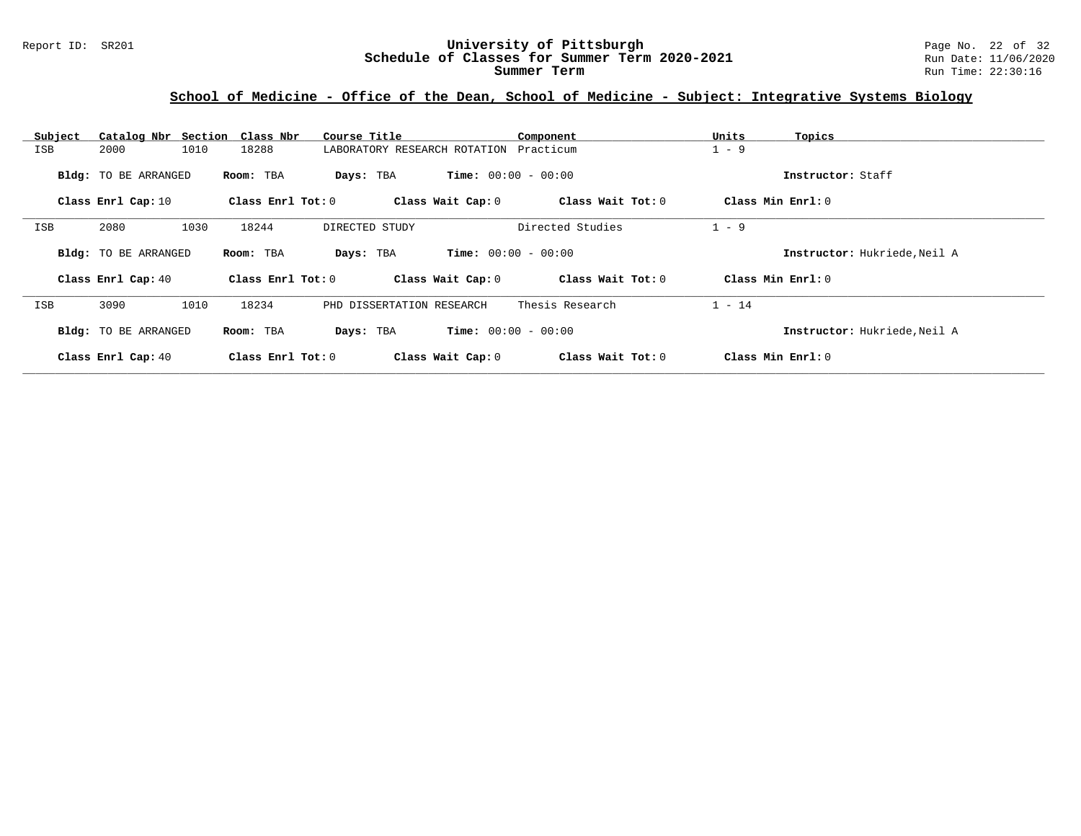# **School of Medicine - Office of the Dean, School of Medicine - Subject: Integrative Systems Biology**

| Subject    | Catalog Nbr Section Class Nbr |                       | Course Title                           |                              | Component         | Units<br>Topics   |                              |
|------------|-------------------------------|-----------------------|----------------------------------------|------------------------------|-------------------|-------------------|------------------------------|
| ISB        | 1010<br>2000                  | 18288                 | LABORATORY RESEARCH ROTATION Practicum |                              |                   | $1 - 9$           |                              |
|            | Bldg: TO BE ARRANGED          | Room: TBA             | Days: TBA                              | <b>Time:</b> $00:00 - 00:00$ |                   |                   | Instructor: Staff            |
|            | Class Enrl Cap: 10            | Class Enrl Tot: 0     |                                        | Class Wait Cap: 0            | Class Wait Tot: 0 | Class Min Enrl: 0 |                              |
| <b>ISB</b> | 2080<br>1030                  | 18244                 | DIRECTED STUDY                         |                              | Directed Studies  | $1 - 9$           |                              |
|            | <b>Bldg:</b> TO BE ARRANGED   | Room: TBA             | Days: TBA                              | <b>Time:</b> $00:00 - 00:00$ |                   |                   | Instructor: Hukriede, Neil A |
|            | Class Enrl Cap: 40            | Class $Enr1 Tot: 0$   |                                        | Class Wait Cap: 0            | Class Wait Tot: 0 | Class Min Enrl: 0 |                              |
| <b>ISB</b> | 3090<br>1010                  | 18234                 | PHD DISSERTATION RESEARCH              |                              | Thesis Research   | $1 - 14$          |                              |
|            | Bldg: TO BE ARRANGED          | Room: TBA             | Days: TBA                              | <b>Time:</b> $00:00 - 00:00$ |                   |                   | Instructor: Hukriede, Neil A |
|            | Class Enrl Cap: 40            | Class $Enr1$ Tot: $0$ |                                        | Class Wait Cap: 0            | Class Wait Tot: 0 | Class Min Enrl: 0 |                              |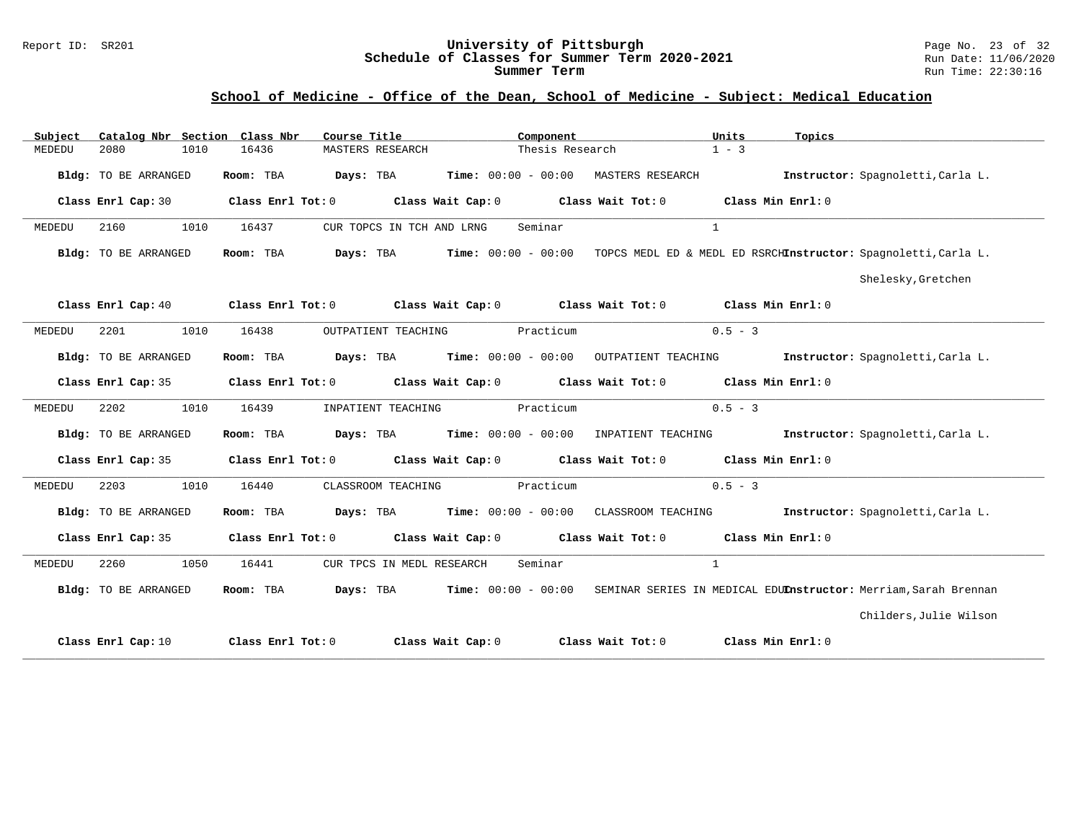#### Report ID: SR201 **University of Pittsburgh** Page No. 23 of 32 **Schedule of Classes for Summer Term 2020-2021** Run Date: 11/06/2020 **Summer Term** Run Time: 22:30:16

### **School of Medicine - Office of the Dean, School of Medicine - Subject: Medical Education**

| Subject | Catalog Nbr Section Class Nbr | Course Title <b>Source Search</b>           | Component                                                                                                                      | Units<br>Topics                                                 |                                   |
|---------|-------------------------------|---------------------------------------------|--------------------------------------------------------------------------------------------------------------------------------|-----------------------------------------------------------------|-----------------------------------|
| MEDEDU  | 2080<br>1010                  | 16436<br>MASTERS RESEARCH                   | Thesis Research                                                                                                                | $1 - 3$                                                         |                                   |
|         | Bldg: TO BE ARRANGED          |                                             | Room: TBA Days: TBA Time: 00:00 - 00:00 MASTERS RESEARCH Instructor: Spagnoletti, Carla L.                                     |                                                                 |                                   |
|         | Class Enrl Cap: 30            |                                             | Class Enrl Tot: $0$ Class Wait Cap: $0$ Class Wait Tot: $0$ Class Min Enrl: $0$                                                |                                                                 |                                   |
| MEDEDU  | 2160<br>1010                  | 16437<br>CUR TOPCS IN TCH AND LRNG          | Seminar                                                                                                                        | $\mathbf{1}$                                                    |                                   |
|         | Bldg: TO BE ARRANGED          |                                             | Room: TBA Days: TBA Time: 00:00 - 00:00 TOPCS MEDL ED & MEDL ED RSRCHInstructor: Spagnoletti, Carla L.                         |                                                                 |                                   |
|         |                               |                                             |                                                                                                                                |                                                                 | Shelesky, Gretchen                |
|         |                               |                                             | Class Enrl Cap: 40 $\qquad$ Class Enrl Tot: 0 $\qquad$ Class Wait Cap: 0 $\qquad$ Class Wait Tot: 0 $\qquad$ Class Min Enrl: 0 |                                                                 |                                   |
| MEDEDU  | 2201<br>1010                  | OUTPATIENT TEACHING<br>16438                | Practicum                                                                                                                      | $0.5 - 3$                                                       |                                   |
|         | Bldg: TO BE ARRANGED          |                                             | Room: TBA Days: TBA Time: 00:00 - 00:00 OUTPATIENT TEACHING                                                                    |                                                                 | Instructor: Spagnoletti, Carla L. |
|         | Class Enrl Cap: 35            |                                             | Class Enrl Tot: $0$ Class Wait Cap: $0$ Class Wait Tot: $0$ Class Min Enrl: $0$                                                |                                                                 |                                   |
| MEDEDU  | 2202<br>1010                  | 16439                                       | INPATIENT TEACHING Practicum                                                                                                   | $0.5 - 3$                                                       |                                   |
|         | Bldg: TO BE ARRANGED          |                                             | Room: TBA Days: TBA Time: 00:00 - 00:00 INPATIENT TEACHING Instructor: Spagnoletti, Carla L.                                   |                                                                 |                                   |
|         |                               |                                             | Class Enrl Cap: 35 Class Enrl Tot: 0 Class Wait Cap: 0 Class Wait Tot: 0 Class Min Enrl: 0                                     |                                                                 |                                   |
| MEDEDU  | 2203<br>1010                  | 16440                                       | CLASSROOM TEACHING Practicum                                                                                                   | $0.5 - 3$                                                       |                                   |
|         | Bldg: TO BE ARRANGED          |                                             | Room: TBA Days: TBA Time: 00:00 - 00:00 CLASSROOM TEACHING                                                                     |                                                                 | Instructor: Spagnoletti, Carla L. |
|         |                               |                                             | Class Enrl Cap: 35 Class Enrl Tot: 0 Class Wait Cap: 0 Class Wait Tot: 0 Class Min Enrl: 0                                     |                                                                 |                                   |
| MEDEDU  | 2260 1050                     | 16441<br>CUR TPCS IN MEDL RESEARCH          | Seminar                                                                                                                        | $\mathbf{1}$                                                    |                                   |
|         | Bldg: TO BE ARRANGED          | Room: TBA $Days:$ TBA $Time: 00:00 - 00:00$ |                                                                                                                                | SEMINAR SERIES IN MEDICAL EDUInstructor: Merriam, Sarah Brennan |                                   |
|         |                               |                                             |                                                                                                                                |                                                                 | Childers, Julie Wilson            |
|         | Class Enrl Cap: 10            |                                             | Class Enrl Tot: $0$ Class Wait Cap: $0$ Class Wait Tot: $0$                                                                    | Class Min Enrl: 0                                               |                                   |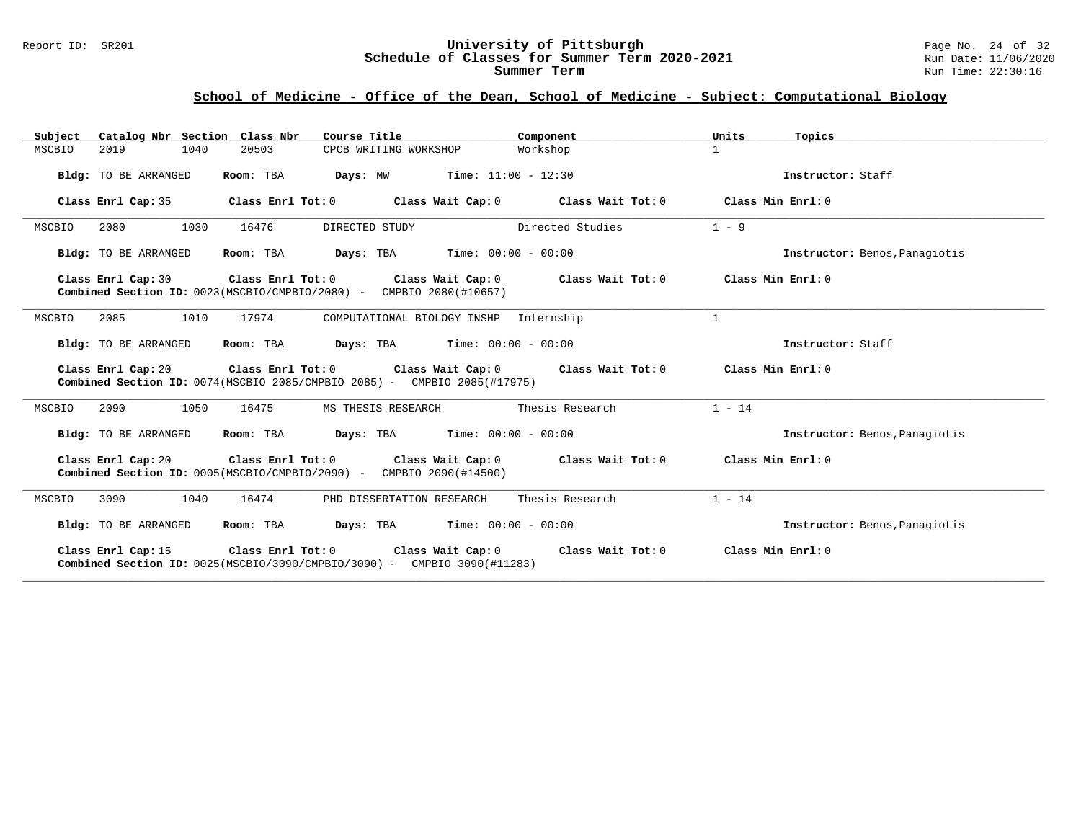#### Report ID: SR201 **University of Pittsburgh** Page No. 24 of 32 **Schedule of Classes for Summer Term 2020-2021** Run Date: 11/06/2020 **Summer Term** Run Time: 22:30:16

# **School of Medicine - Office of the Dean, School of Medicine - Subject: Computational Biology**

| Catalog Nbr Section Class Nbr<br>Subject                                                                                                                                             | Course Title                                                                                                                       | Component                                                                                           | Units<br>Topics               |  |  |  |  |
|--------------------------------------------------------------------------------------------------------------------------------------------------------------------------------------|------------------------------------------------------------------------------------------------------------------------------------|-----------------------------------------------------------------------------------------------------|-------------------------------|--|--|--|--|
| MSCBIO<br>2019<br>1040                                                                                                                                                               | 20503<br>CPCB WRITING WORKSHOP                                                                                                     | Workshop                                                                                            | $\mathbf{1}$                  |  |  |  |  |
| Bldg: TO BE ARRANGED                                                                                                                                                                 | <b>Days:</b> $MW$ <b>Time:</b> $11:00 - 12:30$<br>Room: TBA                                                                        |                                                                                                     | Instructor: Staff             |  |  |  |  |
| Class Enrl Cap: 35                                                                                                                                                                   |                                                                                                                                    | Class Enrl Tot: $0$ Class Wait Cap: $0$ Class Wait Tot: $0$                                         | Class Min Enrl: 0             |  |  |  |  |
| MSCBIO<br>2080<br>1030                                                                                                                                                               | 16476<br>DIRECTED STUDY                                                                                                            | Directed Studies                                                                                    | $1 - 9$                       |  |  |  |  |
| Bldg: TO BE ARRANGED                                                                                                                                                                 | <b>Days:</b> TBA <b>Time:</b> $00:00 - 00:00$<br>Room: TBA                                                                         |                                                                                                     | Instructor: Benos, Panagiotis |  |  |  |  |
| Class Enrl Cap: 30                                                                                                                                                                   | Class Enrl Tot: $0$ Class Wait Cap: $0$ Class Wait Tot: $0$<br>Combined Section ID: 0023(MSCBIO/CMPBIO/2080) - CMPBIO 2080(#10657) | Class Min Enrl: 0                                                                                   |                               |  |  |  |  |
| 1010<br>2085<br>MSCBIO                                                                                                                                                               | 17974<br>COMPUTATIONAL BIOLOGY INSHP                                                                                               | Internship                                                                                          | $\mathbf{1}$                  |  |  |  |  |
| Bldg: TO BE ARRANGED                                                                                                                                                                 | Room: TBA $Days:$ TBA $Time: 00:00 - 00:00$                                                                                        |                                                                                                     | Instructor: Staff             |  |  |  |  |
|                                                                                                                                                                                      | <b>Combined Section ID:</b> $0074$ (MSCBIO 2085/CMPBIO 2085) - CMPBIO 2085(#17975)                                                 | Class Enrl Cap: 20 $\qquad$ Class Enrl Tot: 0 $\qquad$ Class Wait Cap: 0 $\qquad$ Class Wait Tot: 0 | Class Min Enrl: 0             |  |  |  |  |
| 2090<br>1050<br>MSCBIO                                                                                                                                                               | 16475<br>MS THESIS RESEARCH                                                                                                        | Thesis Research                                                                                     | $1 - 14$                      |  |  |  |  |
| Bldg: TO BE ARRANGED                                                                                                                                                                 | Room: TBA<br>$Days: TBA$ $Time: 00:00 - 00:00$                                                                                     |                                                                                                     | Instructor: Benos, Panagiotis |  |  |  |  |
|                                                                                                                                                                                      | Combined Section ID: 0005(MSCBIO/CMPBIO/2090) - CMPBIO 2090(#14500)                                                                | Class Enrl Cap: 20 Class Enrl Tot: 0 Class Wait Cap: 0 Class Wait Tot: 0 Class Min Enrl: 0          |                               |  |  |  |  |
| 3090<br>1040<br>MSCBIO                                                                                                                                                               | 16474<br>PHD DISSERTATION RESEARCH                                                                                                 | Thesis Research                                                                                     | $1 - 14$                      |  |  |  |  |
| Bldg: TO BE ARRANGED                                                                                                                                                                 | <b>Days:</b> TBA <b>Time:</b> $00:00 - 00:00$<br>Room: TBA                                                                         |                                                                                                     | Instructor: Benos, Panagiotis |  |  |  |  |
| Class Enrl Cap: 15<br>Class Enrl Tot: 0<br>Class Wait Tot: 0<br>Class Min Enrl: 0<br>Class Wait Cap: 0<br>Combined Section ID: $0025(MSCBIO/3090/CMPBIO/3090)$ - CMPBIO 3090(#11283) |                                                                                                                                    |                                                                                                     |                               |  |  |  |  |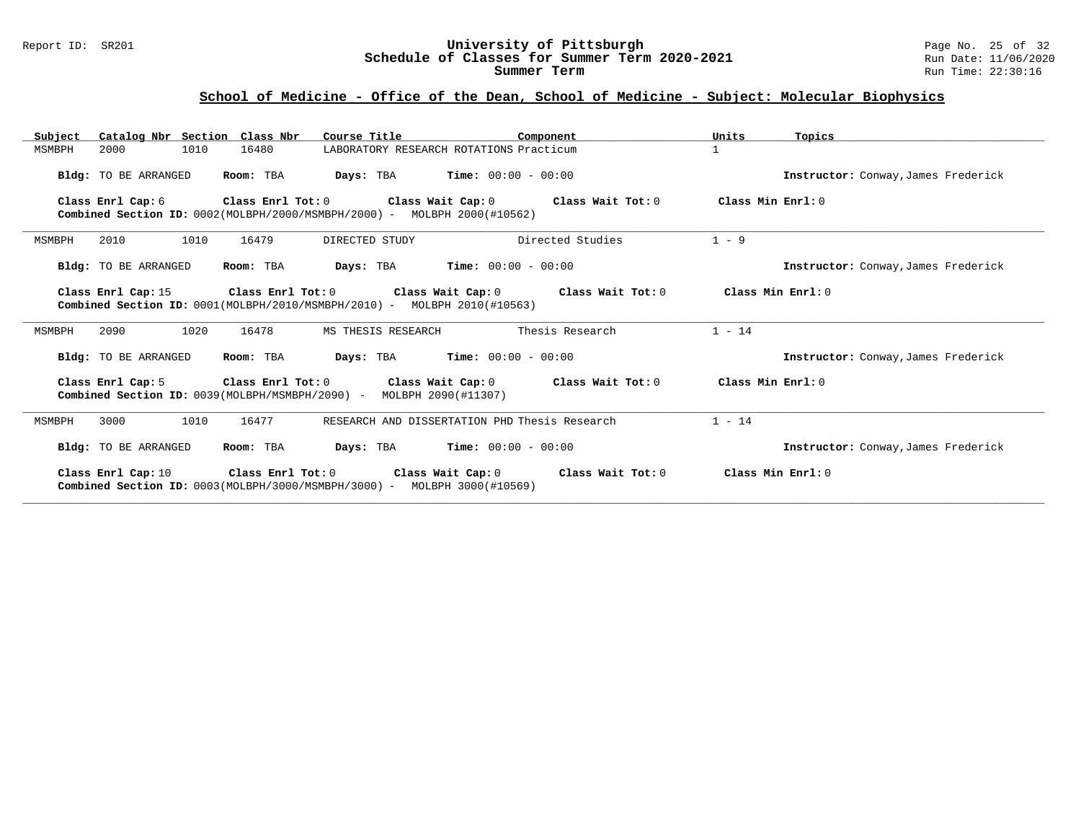#### Report ID: SR201 **University of Pittsburgh** Page No. 25 of 32 **Schedule of Classes for Summer Term 2020-2021** Run Date: 11/06/2020 **Summer Term** Run Time: 22:30:16

# **School of Medicine - Office of the Dean, School of Medicine - Subject: Molecular Biophysics**

| Subject | Catalog Nbr Section Class Nbr |                   | Course Title                                                                       | Component                                                                                           | Units             | Topics                              |
|---------|-------------------------------|-------------------|------------------------------------------------------------------------------------|-----------------------------------------------------------------------------------------------------|-------------------|-------------------------------------|
| MSMBPH  | 1010<br>2000                  | 16480             |                                                                                    | LABORATORY RESEARCH ROTATIONS Practicum                                                             | $\mathbf{1}$      |                                     |
|         | Bldg: TO BE ARRANGED          | Room: TBA         |                                                                                    | <b>Days:</b> TBA <b>Time:</b> $00:00 - 00:00$                                                       |                   | Instructor: Conway, James Frederick |
|         | Class Enrl Cap: 6             | Class Enrl Tot: 0 | <b>Combined Section ID:</b> $0002$ (MOLBPH/2000/MSMBPH/2000) - MOLBPH 2000(#10562) | Class Wait Cap: 0 Class Wait Tot: 0                                                                 | Class Min Enrl: 0 |                                     |
| MSMBPH  | 2010<br>1010                  | 16479             | DIRECTED STUDY                                                                     | Directed Studies                                                                                    | $1 - 9$           |                                     |
|         | Bldg: TO BE ARRANGED          | Room: TBA         |                                                                                    | <b>Days:</b> TBA <b>Time:</b> $00:00 - 00:00$                                                       |                   | Instructor: Conway, James Frederick |
|         | Class Enrl Cap: 15            |                   | <b>Combined Section ID:</b> $0001(MOEBPH/2010/MSMBPH/2010)$ - MOLBPH 2010(#10563)  | Class Enrl Tot: $0$ Class Wait Cap: $0$ Class Wait Tot: $0$                                         | Class Min Enrl: 0 |                                     |
| MSMBPH  | 1020<br>2090                  | 16478             | MS THESIS RESEARCH                                                                 | Thesis Research                                                                                     | $1 - 14$          |                                     |
|         | Bldg: TO BE ARRANGED          | Room: TBA         |                                                                                    | <b>Days:</b> TBA <b>Time:</b> $00:00 - 00:00$                                                       |                   | Instructor: Conway, James Frederick |
|         | Class Enrl Cap: 5             |                   | Combined Section ID: 0039(MOLBPH/MSMBPH/2090) - MOLBPH 2090(#11307)                | Class Enrl Tot: $0$ Class Wait Cap: $0$ Class Wait Tot: $0$                                         | Class Min Enrl: 0 |                                     |
| MSMBPH  | 3000<br>1010                  | 16477             |                                                                                    | RESEARCH AND DISSERTATION PHD Thesis Research                                                       | $1 - 14$          |                                     |
|         | Bldg: TO BE ARRANGED          | Room: TBA         |                                                                                    | <b>Days:</b> TBA <b>Time:</b> $00:00 - 00:00$                                                       |                   | Instructor: Conway, James Frederick |
|         |                               |                   | <b>Combined Section ID:</b> $0003(MOLBPH/3000/MSMBPH/3000) - MOLBPH 3000(\#10569)$ | Class Enrl Cap: 10 $\qquad$ Class Enrl Tot: 0 $\qquad$ Class Wait Cap: 0 $\qquad$ Class Wait Tot: 0 |                   | Class Min Enrl: 0                   |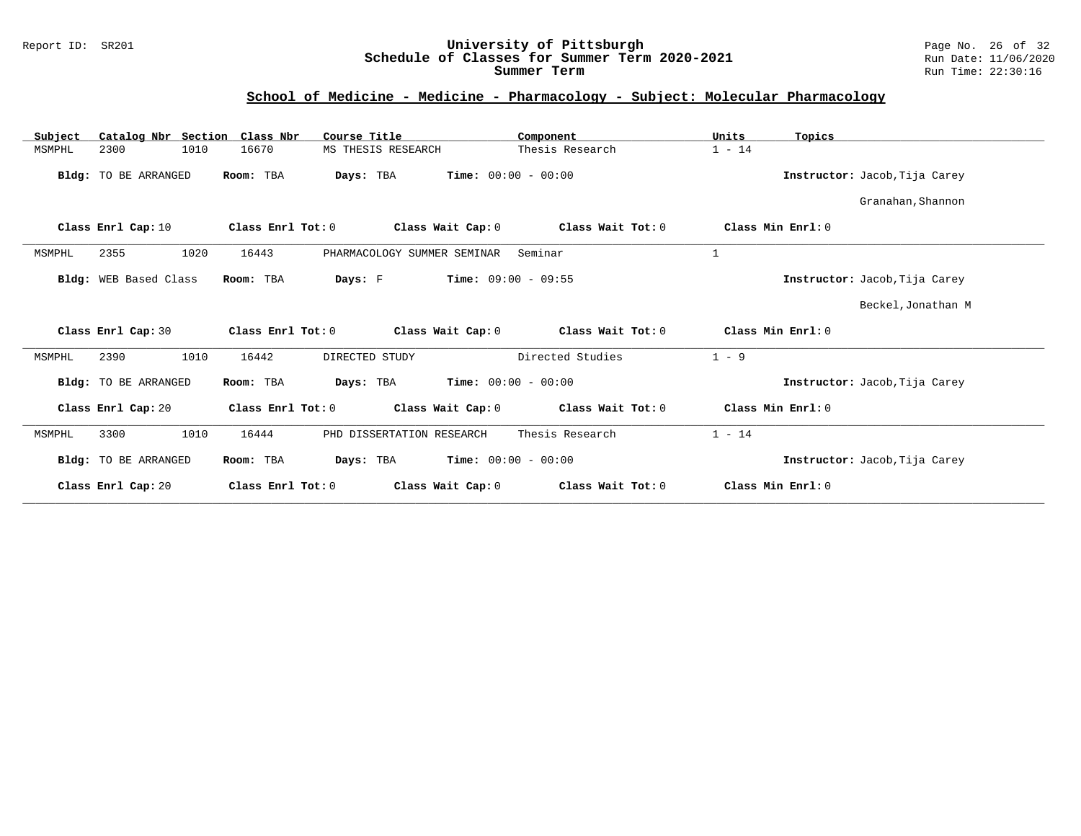### Report ID: SR201 **University of Pittsburgh** Page No. 26 of 32 **Schedule of Classes for Summer Term 2020-2021** Run Date: 11/06/2020 **Summer Term** Run Time: 22:30:16

# **School of Medicine - Medicine - Pharmacology - Subject: Molecular Pharmacology**

| Catalog Nbr Section Class Nbr<br>Subject | Course Title                           | Component                    | Units<br>Topics               |
|------------------------------------------|----------------------------------------|------------------------------|-------------------------------|
| 1010<br>2300<br>MSMPHL                   | 16670<br>MS THESIS RESEARCH            | Thesis Research              | $1 - 14$                      |
| Bldg: TO BE ARRANGED                     | Room: TBA<br>Days: TBA                 | <b>Time:</b> $00:00 - 00:00$ | Instructor: Jacob, Tija Carey |
|                                          |                                        |                              | Granahan, Shannon             |
| Class Enrl Cap: 10                       | Class Enrl Tot: 0<br>Class Wait Cap: 0 | Class Wait Tot: 0            | Class Min Enrl: 0             |
| MSMPHL<br>2355<br>1020                   | 16443<br>PHARMACOLOGY SUMMER SEMINAR   | Seminar                      | $\mathbf 1$                   |
| Bldg: WEB Based Class                    | Room: TBA<br>Days: F                   | <b>Time:</b> $09:00 - 09:55$ | Instructor: Jacob, Tija Carey |
|                                          |                                        |                              | Beckel, Jonathan M            |
| Class Enrl Cap: 30                       | Class Enrl Tot: 0<br>Class Wait Cap: 0 | Class Wait Tot: 0            | Class Min $Err1:0$            |
| 1010<br>2390<br>MSMPHL                   | 16442<br>DIRECTED STUDY                | Directed Studies             | $1 - 9$                       |
| Bldg: TO BE ARRANGED                     | Room: TBA<br>Days: TBA                 | <b>Time:</b> $00:00 - 00:00$ | Instructor: Jacob, Tija Carey |
| Class Enrl Cap: 20                       | Class Enrl Tot: 0<br>Class Wait Cap: 0 | Class Wait Tot: 0            | Class Min Enrl: 0             |
| 3300<br>1010<br>MSMPHL                   | 16444<br>PHD DISSERTATION RESEARCH     | Thesis Research              | $1 - 14$                      |
| Bldg: TO BE ARRANGED                     | Room: TBA<br>Days: TBA                 | <b>Time:</b> $00:00 - 00:00$ | Instructor: Jacob, Tija Carey |
| Class Enrl Cap: 20                       | Class Enrl Tot: 0<br>Class Wait Cap: 0 | Class Wait Tot: 0            | Class Min Enrl: 0             |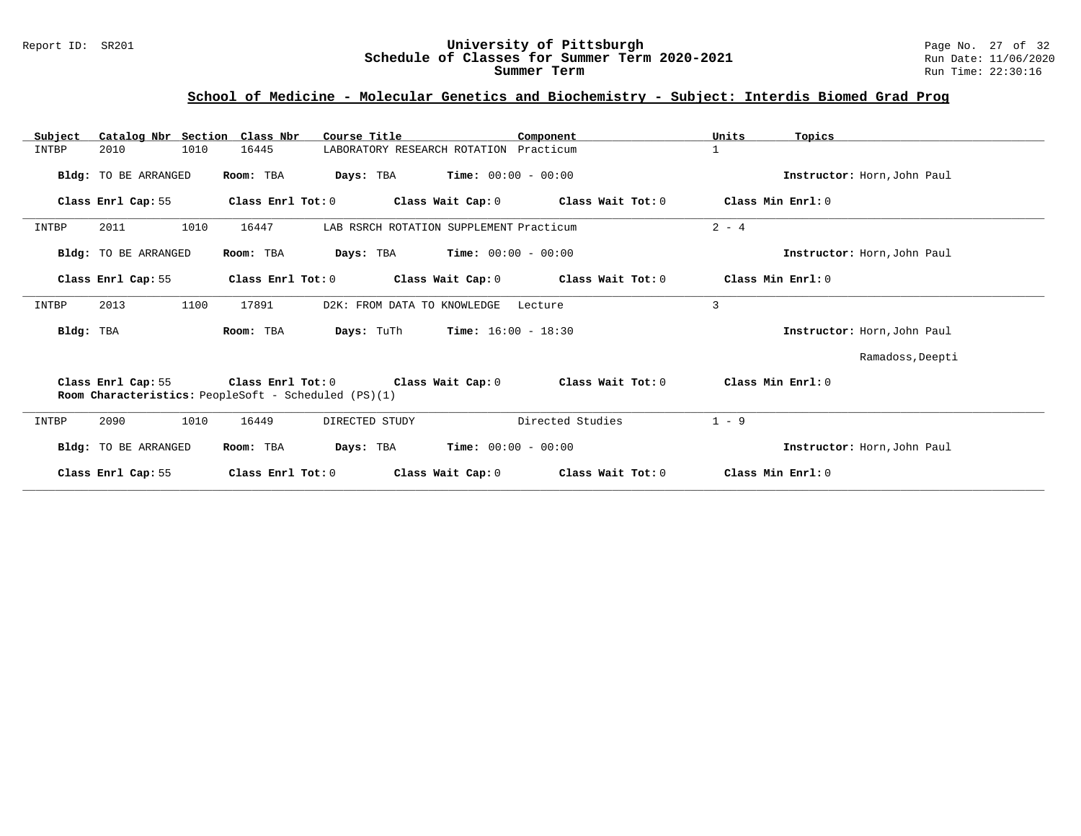### **School of Medicine - Molecular Genetics and Biochemistry - Subject: Interdis Biomed Grad Prog**

| Catalog Nbr Section Class Nbr<br>Subject | Course Title                                                                                       | Component                                      | Units<br>Topics             |
|------------------------------------------|----------------------------------------------------------------------------------------------------|------------------------------------------------|-----------------------------|
| INTBP<br>1010<br>2010                    | 16445                                                                                              | LABORATORY RESEARCH ROTATION Practicum         | $\mathbf{1}$                |
| Bldg: TO BE ARRANGED                     | Room: TBA<br>Days: TBA                                                                             | $Time: 00:00 - 00:00$                          | Instructor: Horn, John Paul |
| Class Enrl Cap: 55                       | Class Enrl Tot: 0                                                                                  | Class Wait Cap: $0$ Class Wait Tot: $0$        | Class Min Enrl: 0           |
| 2011<br>1010<br>INTBP                    | 16447                                                                                              | LAB RSRCH ROTATION SUPPLEMENT Practicum        | $2 - 4$                     |
| <b>Bldg:</b> TO BE ARRANGED              | Days: TBA<br>Room: TBA                                                                             | $Time: 00:00 - 00:00$                          | Instructor: Horn, John Paul |
| Class Enrl Cap: 55                       | Class Enrl Tot: 0<br>Class Wait Cap: 0                                                             | Class Wait Tot: 0                              | Class Min Enrl: 0           |
| INTBP<br>2013<br>1100                    | D2K: FROM DATA TO KNOWLEDGE<br>17891                                                               | Lecture                                        | 3                           |
| Bldg: TBA                                | Room: TBA                                                                                          | <b>Days:</b> TuTh <b>Time:</b> $16:00 - 18:30$ | Instructor: Horn, John Paul |
|                                          |                                                                                                    |                                                | Ramadoss, Deepti            |
| Class Enrl Cap: 55                       | Class Enrl Tot: 0 Class Wait Cap: 0<br><b>Room Characteristics:</b> PeopleSoft - Scheduled (PS)(1) | Class Wait Tot: 0                              | Class Min Enrl: 0           |
| INTBP<br>2090<br>1010                    | DIRECTED STUDY<br>16449                                                                            | Directed Studies                               | $1 - 9$                     |
| <b>Bldg:</b> TO BE ARRANGED              | Room: TBA                                                                                          | <b>Days:</b> TBA <b>Time:</b> $00:00 - 00:00$  | Instructor: Horn, John Paul |
| Class Enrl Cap: 55                       | Class Enrl Tot: 0<br>Class Wait Cap: 0                                                             | Class Wait Tot: 0                              | Class Min Enrl: 0           |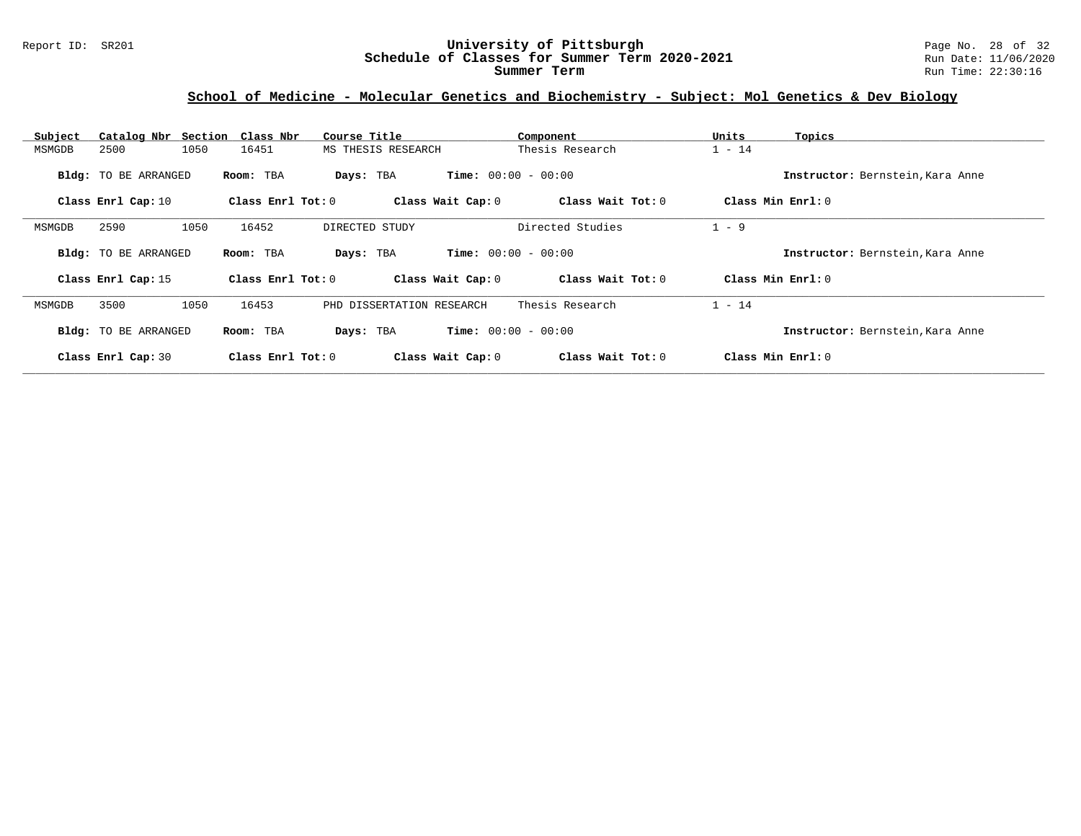### Report ID: SR201 **University of Pittsburgh** Page No. 28 of 32 **Schedule of Classes for Summer Term 2020-2021** Run Date: 11/06/2020 **Summer Term** Run Time: 22:30:16

# **School of Medicine - Molecular Genetics and Biochemistry - Subject: Mol Genetics & Dev Biology**

| Subject |                      | Catalog Nbr Section Class Nbr | Course Title              | Component                    | Units<br>Topics                  |  |
|---------|----------------------|-------------------------------|---------------------------|------------------------------|----------------------------------|--|
| MSMGDB  | 2500                 | 1050<br>16451                 | MS THESIS RESEARCH        | Thesis Research              | $1 - 14$                         |  |
|         | Bldg: TO BE ARRANGED | Room: TBA                     | Days: TBA                 | <b>Time:</b> $00:00 - 00:00$ | Instructor: Bernstein, Kara Anne |  |
|         | Class Enrl Cap: 10   | Class Enrl Tot: $0$           | Class Wait Cap: 0         | Class Wait Tot: 0            | Class Min Enrl: 0                |  |
| MSMGDB  | 2590                 | 16452<br>1050                 | DIRECTED STUDY            | Directed Studies             | $1 - 9$                          |  |
|         | Bldg: TO BE ARRANGED | Room: TBA                     | Days: TBA                 | <b>Time:</b> $00:00 - 00:00$ | Instructor: Bernstein, Kara Anne |  |
|         | Class Enrl Cap: 15   | Class Enrl Tot: 0             | Class Wait Cap: 0         | Class Wait Tot: 0            | Class Min Enrl: 0                |  |
| MSMGDB  | 3500                 | 1050<br>16453                 | PHD DISSERTATION RESEARCH | Thesis Research              | $1 - 14$                         |  |
|         | Bldg: TO BE ARRANGED | Room: TBA                     | Days: TBA                 | <b>Time:</b> $00:00 - 00:00$ | Instructor: Bernstein, Kara Anne |  |
|         | Class Enrl Cap: 30   | Class Enrl Tot: $0$           | Class Wait Cap: 0         | Class Wait Tot: 0            | Class Min Enrl: 0                |  |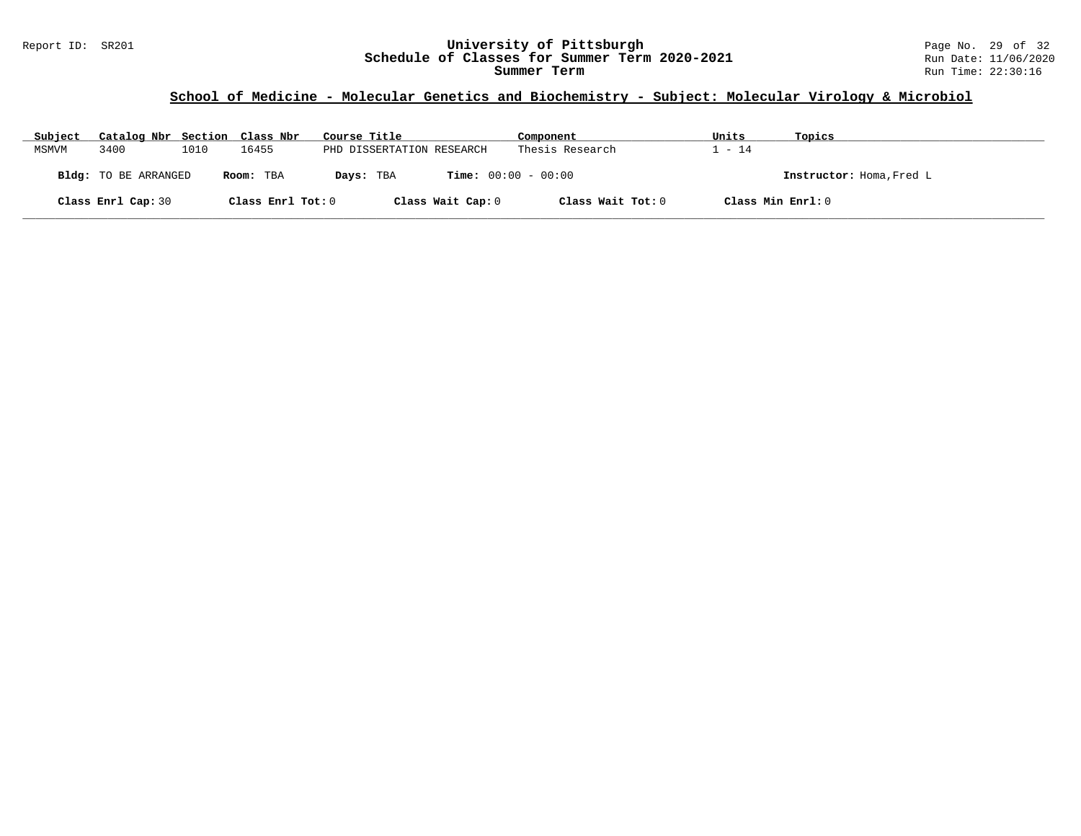### Report ID: SR201 **University of Pittsburgh** Page No. 29 of 32 **Schedule of Classes for Summer Term 2020-2021** Run Date: 11/06/2020 **Summer Term** Run Time: 22:30:16

# **School of Medicine - Molecular Genetics and Biochemistry - Subject: Molecular Virology & Microbiol**

| Subject | Catalog Nbr Section Class Nbr |      |                   | Course Title              | Component                    | Units  | Topics                   |
|---------|-------------------------------|------|-------------------|---------------------------|------------------------------|--------|--------------------------|
| MSMVM   | 3400                          | 1010 | 16455             | PHD DISSERTATION RESEARCH | Thesis Research              | 1 - 14 |                          |
|         | Bldg: TO BE ARRANGED          |      | Room: TBA         | Days: TBA                 | <b>Time:</b> $00:00 - 00:00$ |        | Instructor: Homa, Fred L |
|         | Class Enrl Cap: 30            |      | Class Enrl Tot: 0 | Class Wait Cap: 0         | Class Wait Tot: 0            |        | Class Min Enrl: 0        |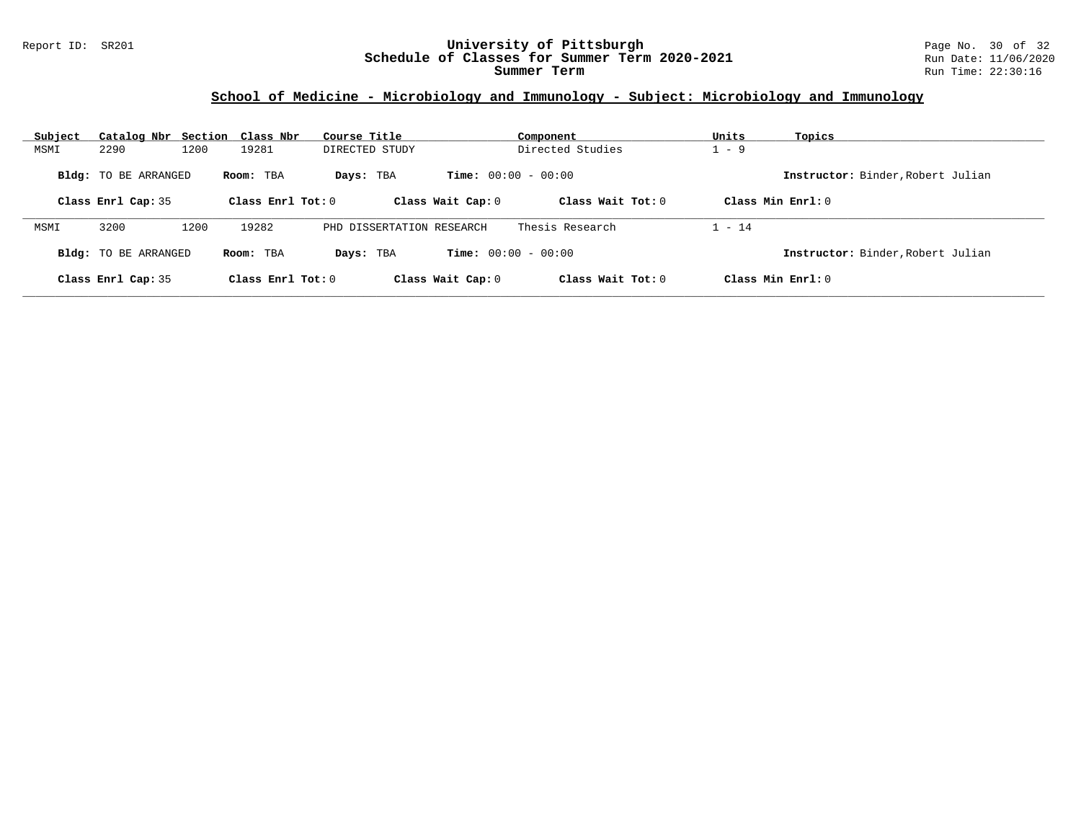### Report ID: SR201 **University of Pittsburgh** Page No. 30 of 32 **Schedule of Classes for Summer Term 2020-2021** Run Date: 11/06/2020 **Summer Term** Run Time: 22:30:16

# **School of Medicine - Microbiology and Immunology - Subject: Microbiology and Immunology**

| Subject | Catalog Nbr Section Class Nbr |      |                     | Course Title              |                   | Component                    | Units    | Topics                            |
|---------|-------------------------------|------|---------------------|---------------------------|-------------------|------------------------------|----------|-----------------------------------|
| MSMI    | 2290                          | 1200 | 19281               | DIRECTED STUDY            |                   | Directed Studies             | $-9$     |                                   |
|         | <b>Bldg:</b> TO BE ARRANGED   |      | Room: TBA           | Days: TBA                 |                   | <b>Time:</b> $00:00 - 00:00$ |          | Instructor: Binder, Robert Julian |
|         | Class Enrl Cap: 35            |      | Class Enrl Tot: $0$ |                           | Class Wait Cap: 0 | Class Wait $Tot: 0$          |          | Class Min $Enrl: 0$               |
| MSMI    | 3200                          | 1200 | 19282               | PHD DISSERTATION RESEARCH |                   | Thesis Research              | $1 - 14$ |                                   |
|         | Bldg: TO BE ARRANGED          |      | Room: TBA           | Days: TBA                 |                   | <b>Time:</b> $00:00 - 00:00$ |          | Instructor: Binder, Robert Julian |
|         | Class Enrl Cap: 35            |      | Class Enrl Tot: $0$ |                           | Class Wait Cap: 0 | Class Wait $Tot: 0$          |          | Class Min $Enrl: 0$               |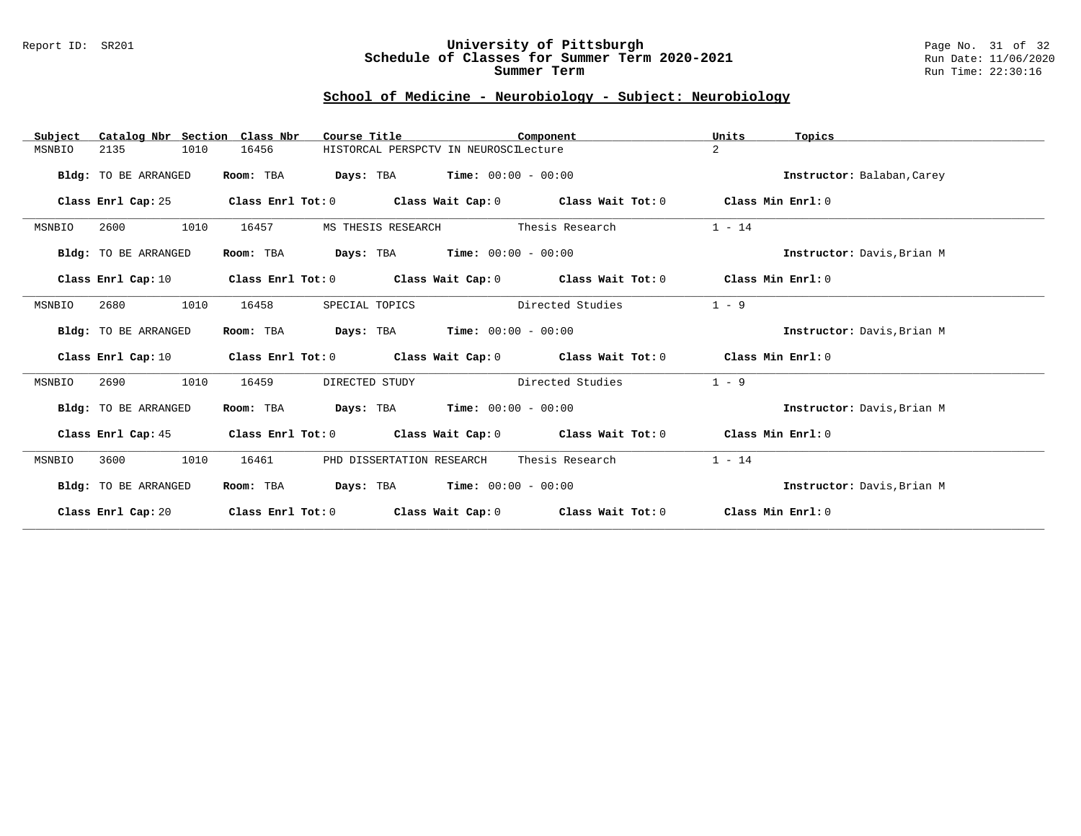#### Report ID: SR201 **University of Pittsburgh** Page No. 31 of 32 **Schedule of Classes for Summer Term 2020-2021** Run Date: 11/06/2020 **Summer Term** Run Time: 22:30:16

# **School of Medicine - Neurobiology - Subject: Neurobiology**

| Catalog Nbr Section Class Nbr<br>Subject | Course Title                       | Component                                                   | Units<br>Topics            |
|------------------------------------------|------------------------------------|-------------------------------------------------------------|----------------------------|
| 2135<br>1010<br>MSNBIO                   | 16456                              | HISTORCAL PERSPCTV IN NEUROSCILecture                       | $\overline{2}$             |
| Bldg: TO BE ARRANGED                     | Room: TBA                          | <b>Days:</b> TBA <b>Time:</b> $00:00 - 00:00$               | Instructor: Balaban, Carey |
| Class Enrl Cap: 25                       |                                    | Class Enrl Tot: $0$ Class Wait Cap: $0$ Class Wait Tot: $0$ | Class Min Enrl: 0          |
| 1010<br>MSNBIO<br>2600                   | 16457<br>MS THESIS RESEARCH        | Thesis Research                                             | $1 - 14$                   |
| Bldg: TO BE ARRANGED                     | Room: TBA                          | $\texttt{DayS:}$ TBA $\texttt{Time:}$ 00:00 - 00:00         | Instructor: Davis, Brian M |
| Class Enrl Cap: 10                       |                                    | Class Enrl Tot: $0$ Class Wait Cap: $0$ Class Wait Tot: $0$ | Class Min Enrl: 0          |
| 2680<br>1010<br>MSNBIO                   | 16458<br>SPECIAL TOPICS            | Directed Studies                                            | $1 - 9$                    |
| Bldg: TO BE ARRANGED                     | Room: TBA                          | <b>Days:</b> TBA <b>Time:</b> $00:00 - 00:00$               | Instructor: Davis, Brian M |
| Class Enrl Cap: 10                       |                                    | Class Enrl Tot: $0$ Class Wait Cap: $0$ Class Wait Tot: $0$ | Class Min Enrl: 0          |
| 1010<br>2690<br>MSNBIO                   | 16459<br>DIRECTED STUDY            | Directed Studies                                            | $1 - 9$                    |
| Bldg: TO BE ARRANGED                     | Room: TBA                          | $\texttt{Days:}$ TBA $\texttt{Time:}$ 00:00 - 00:00         | Instructor: Davis, Brian M |
| Class Enrl Cap: 45                       |                                    | Class Enrl Tot: $0$ Class Wait Cap: $0$ Class Wait Tot: $0$ | Class Min Enrl: 0          |
| 1010<br>MSNBIO<br>3600                   | 16461<br>PHD DISSERTATION RESEARCH | Thesis Research                                             | $1 - 14$                   |
| <b>Bldg:</b> TO BE ARRANGED              | Room: TBA                          | <b>Days:</b> TBA <b>Time:</b> $00:00 - 00:00$               | Instructor: Davis, Brian M |
| Class Enrl Cap: 20                       | Class Enrl Tot: 0                  | Class Wait Cap: 0 Class Wait Tot: 0                         | Class Min Enrl: 0          |